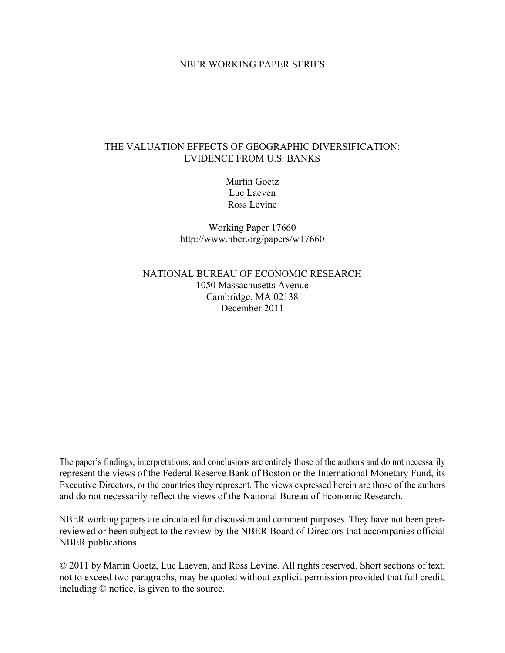## NBER WORKING PAPER SERIES

# THE VALUATION EFFECTS OF GEOGRAPHIC DIVERSIFICATION: EVIDENCE FROM U.S. BANKS

Martin Goetz Luc Laeven Ross Levine

Working Paper 17660 http://www.nber.org/papers/w17660

NATIONAL BUREAU OF ECONOMIC RESEARCH 1050 Massachusetts Avenue Cambridge, MA 02138 December 2011

The paper's findings, interpretations, and conclusions are entirely those of the authors and do not necessarily represent the views of the Federal Reserve Bank of Boston or the International Monetary Fund, its Executive Directors, or the countries they represent. The views expressed herein are those of the authors and do not necessarily reflect the views of the National Bureau of Economic Research.

NBER working papers are circulated for discussion and comment purposes. They have not been peerreviewed or been subject to the review by the NBER Board of Directors that accompanies official NBER publications.

© 2011 by Martin Goetz, Luc Laeven, and Ross Levine. All rights reserved. Short sections of text, not to exceed two paragraphs, may be quoted without explicit permission provided that full credit, including © notice, is given to the source.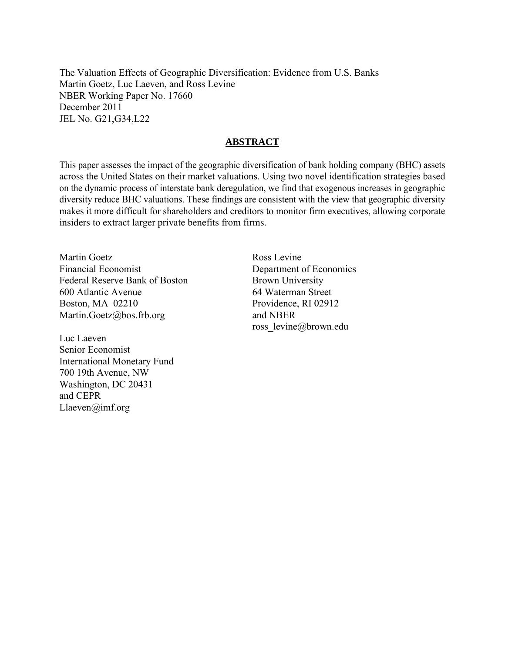The Valuation Effects of Geographic Diversification: Evidence from U.S. Banks Martin Goetz, Luc Laeven, and Ross Levine NBER Working Paper No. 17660 December 2011 JEL No. G21,G34,L22

# **ABSTRACT**

This paper assesses the impact of the geographic diversification of bank holding company (BHC) assets across the United States on their market valuations. Using two novel identification strategies based on the dynamic process of interstate bank deregulation, we find that exogenous increases in geographic diversity reduce BHC valuations. These findings are consistent with the view that geographic diversity makes it more difficult for shareholders and creditors to monitor firm executives, allowing corporate insiders to extract larger private benefits from firms.

Martin Goetz Financial Economist Federal Reserve Bank of Boston 600 Atlantic Avenue Boston, MA 02210 Martin.Goetz@bos.frb.org

Luc Laeven Senior Economist International Monetary Fund 700 19th Avenue, NW Washington, DC 20431 and CEPR Llaeven@imf.org

Ross Levine Department of Economics Brown University 64 Waterman Street Providence, RI 02912 and NBER ross\_levine@brown.edu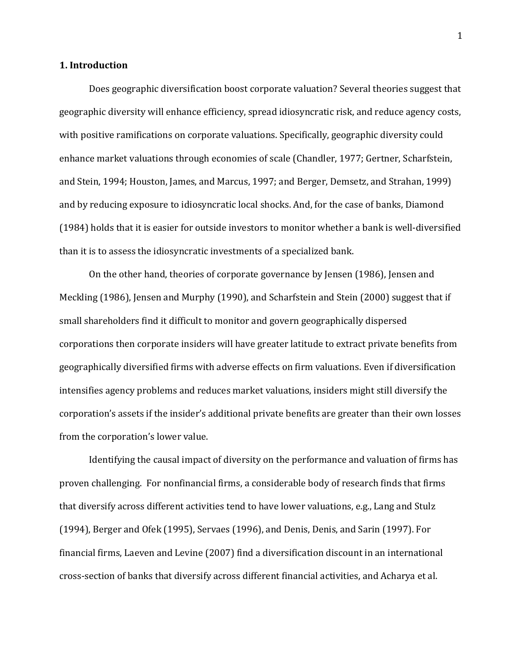# **1. Introduction**

Does geographic diversification boost corporate valuation? Several theories suggest that geographic diversity will enhance efficiency, spread idiosyncratic risk, and reduce agency costs, with positive ramifications on corporate valuations. Specifically, geographic diversity could enhance market valuations through economies of scale (Chandler, 1977; Gertner, Scharfstein, and Stein, 1994; Houston, James, and Marcus, 1997; and Berger, Demsetz, and Strahan, 1999) and by reducing exposure to idiosyncratic local shocks. And, for the case of banks, Diamond (1984) holds that it is easier for outside investors to monitor whether a bank is well-diversified than it is to assess the idiosyncratic investments of a specialized bank.

On the other hand, theories of corporate governance by Jensen (1986), Jensen and Meckling (1986), Jensen and Murphy (1990), and Scharfstein and Stein (2000) suggest that if small shareholders find it difficult to monitor and govern geographically dispersed corporations then corporate insiders will have greater latitude to extract private benefits from geographically diversified firms with adverse effects on firm valuations. Even if diversification intensifies agency problems and reduces market valuations, insiders might still diversify the corporation's assets if the insider's additional private benefits are greater than their own losses from the corporation's lower value.

Identifying the causal impact of diversity on the performance and valuation of firms has proven challenging. For nonfinancial firms, a considerable body of research finds that firms that diversify across different activities tend to have lower valuations, e.g., Lang and Stulz (1994), Berger and Ofek (1995), Servaes (1996), and Denis, Denis, and Sarin (1997). For financial firms, Laeven and Levine (2007) find a diversification discount in an international cross-section of banks that diversify across different financial activities, and Acharya et al.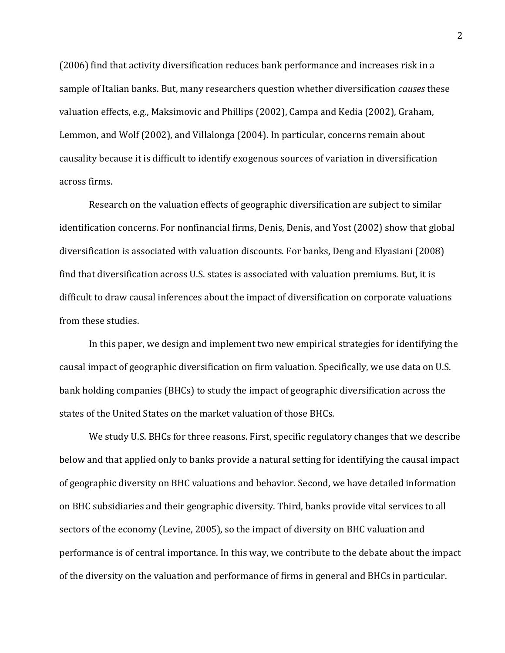(2006) find that activity diversification reduces bank performance and increases risk in a sample of Italian banks. But, many researchers question whether diversification *causes* these valuation effects, e.g., Maksimovic and Phillips (2002), Campa and Kedia (2002), Graham, Lemmon, and Wolf (2002), and Villalonga (2004). In particular, concerns remain about causality because it is difficult to identify exogenous sources of variation in diversification across firms.

Research on the valuation effects of geographic diversification are subject to similar identification concerns. For nonfinancial firms, Denis, Denis, and Yost (2002) show that global diversification is associated with valuation discounts. For banks, Deng and Elyasiani (2008) find that diversification across U.S. states is associated with valuation premiums. But, it is difficult to draw causal inferences about the impact of diversification on corporate valuations from these studies.

In this paper, we design and implement two new empirical strategies for identifying the causal impact of geographic diversification on firm valuation. Specifically, we use data on U.S. bank holding companies (BHCs) to study the impact of geographic diversification across the states of the United States on the market valuation of those BHCs.

We study U.S. BHCs for three reasons. First, specific regulatory changes that we describe below and that applied only to banks provide a natural setting for identifying the causal impact of geographic diversity on BHC valuations and behavior. Second, we have detailed information on BHC subsidiaries and their geographic diversity. Third, banks provide vital services to all sectors of the economy (Levine, 2005), so the impact of diversity on BHC valuation and performance is of central importance. In this way, we contribute to the debate about the impact of the diversity on the valuation and performance of firms in general and BHCs in particular.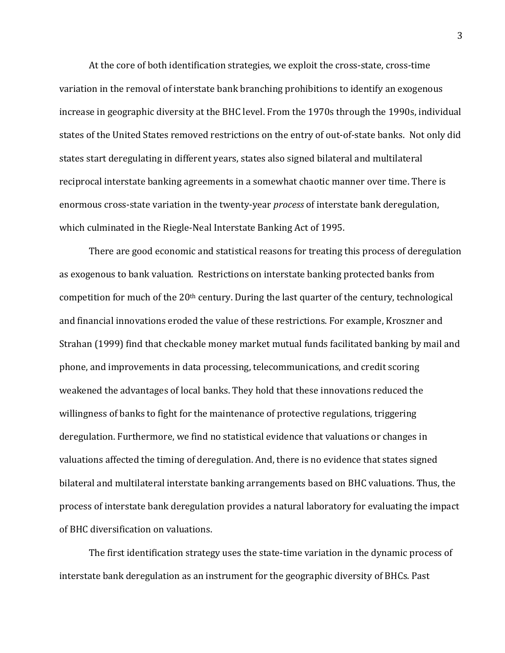At the core of both identification strategies, we exploit the cross-state, cross-time variation in the removal of interstate bank branching prohibitions to identify an exogenous increase in geographic diversity at the BHC level. From the 1970s through the 1990s, individual states of the United States removed restrictions on the entry of out-of-state banks. Not only did states start deregulating in different years, states also signed bilateral and multilateral reciprocal interstate banking agreements in a somewhat chaotic manner over time. There is enormous cross-state variation in the twenty-year *process* of interstate bank deregulation, which culminated in the Riegle-Neal Interstate Banking Act of 1995.

There are good economic and statistical reasons for treating this process of deregulation as exogenous to bank valuation. Restrictions on interstate banking protected banks from competition for much of the 20<sup>th</sup> century. During the last quarter of the century, technological and financial innovations eroded the value of these restrictions. For example, Kroszner and Strahan (1999) find that checkable money market mutual funds facilitated banking by mail and phone, and improvements in data processing, telecommunications, and credit scoring weakened the advantages of local banks. They hold that these innovations reduced the willingness of banks to fight for the maintenance of protective regulations, triggering deregulation. Furthermore, we find no statistical evidence that valuations or changes in valuations affected the timing of deregulation. And, there is no evidence that states signed bilateral and multilateral interstate banking arrangements based on BHC valuations. Thus, the process of interstate bank deregulation provides a natural laboratory for evaluating the impact of BHC diversification on valuations.

The first identification strategy uses the state-time variation in the dynamic process of interstate bank deregulation as an instrument for the geographic diversity of BHCs. Past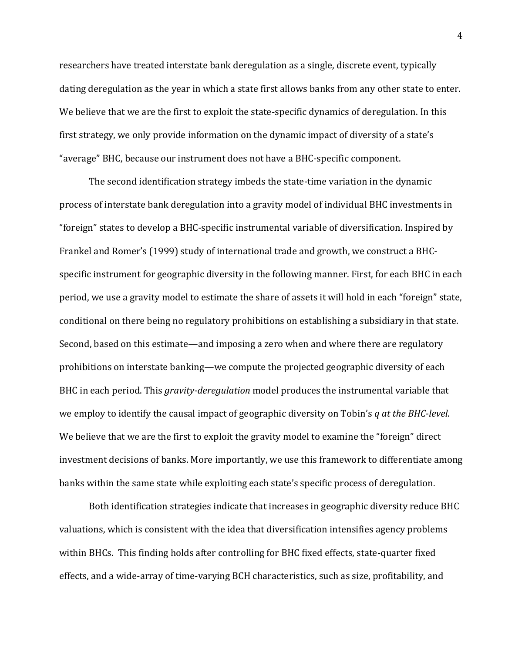researchers have treated interstate bank deregulation as a single, discrete event, typically dating deregulation as the year in which a state first allows banks from any other state to enter. We believe that we are the first to exploit the state-specific dynamics of deregulation. In this first strategy, we only provide information on the dynamic impact of diversity of a state's "average" BHC, because our instrument does not have a BHC-specific component.

The second identification strategy imbeds the state-time variation in the dynamic process of interstate bank deregulation into a gravity model of individual BHC investments in "foreign" states to develop a BHC-specific instrumental variable of diversification. Inspired by Frankel and Romer's (1999) study of international trade and growth, we construct a BHCspecific instrument for geographic diversity in the following manner. First, for each BHC in each period, we use a gravity model to estimate the share of assets it will hold in each "foreign" state, conditional on there being no regulatory prohibitions on establishing a subsidiary in that state. Second, based on this estimate—and imposing a zero when and where there are regulatory prohibitions on interstate banking—we compute the projected geographic diversity of each BHC in each period. This *gravity-deregulation* model produces the instrumental variable that we employ to identify the causal impact of geographic diversity on Tobin's *q at the BHC-level*. We believe that we are the first to exploit the gravity model to examine the "foreign" direct investment decisions of banks. More importantly, we use this framework to differentiate among banks within the same state while exploiting each state's specific process of deregulation.

Both identification strategies indicate that increases in geographic diversity reduce BHC valuations, which is consistent with the idea that diversification intensifies agency problems within BHCs. This finding holds after controlling for BHC fixed effects, state-quarter fixed effects, and a wide-array of time-varying BCH characteristics, such as size, profitability, and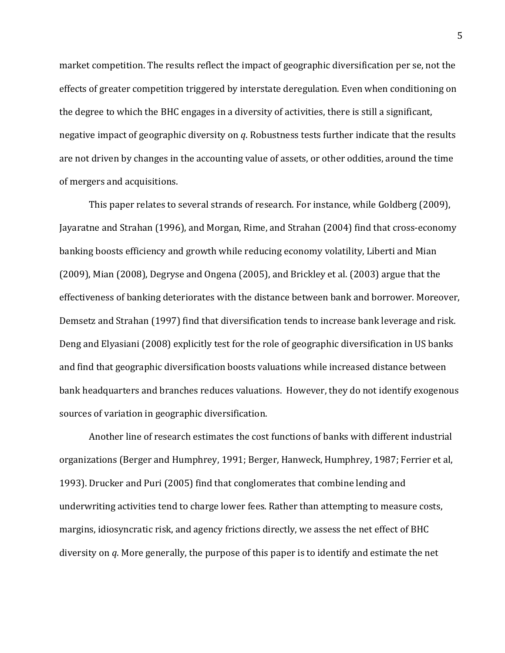market competition. The results reflect the impact of geographic diversification per se, not the effects of greater competition triggered by interstate deregulation. Even when conditioning on the degree to which the BHC engages in a diversity of activities, there is still a significant, negative impact of geographic diversity on *q*. Robustness tests further indicate that the results are not driven by changes in the accounting value of assets, or other oddities, around the time of mergers and acquisitions.

This paper relates to several strands of research. For instance, while Goldberg (2009), Jayaratne and Strahan (1996), and Morgan, Rime, and Strahan (2004) find that cross-economy banking boosts efficiency and growth while reducing economy volatility, Liberti and Mian (2009), Mian (2008), Degryse and Ongena (2005), and Brickley et al. (2003) argue that the effectiveness of banking deteriorates with the distance between bank and borrower. Moreover, Demsetz and Strahan (1997) find that diversification tends to increase bank leverage and risk. Deng and Elyasiani (2008) explicitly test for the role of geographic diversification in US banks and find that geographic diversification boosts valuations while increased distance between bank headquarters and branches reduces valuations. However, they do not identify exogenous sources of variation in geographic diversification.

Another line of research estimates the cost functions of banks with different industrial organizations (Berger and Humphrey, 1991; Berger, Hanweck, Humphrey, 1987; Ferrier et al, 1993). Drucker and Puri (2005) find that conglomerates that combine lending and underwriting activities tend to charge lower fees. Rather than attempting to measure costs, margins, idiosyncratic risk, and agency frictions directly, we assess the net effect of BHC diversity on *q*. More generally, the purpose of this paper is to identify and estimate the net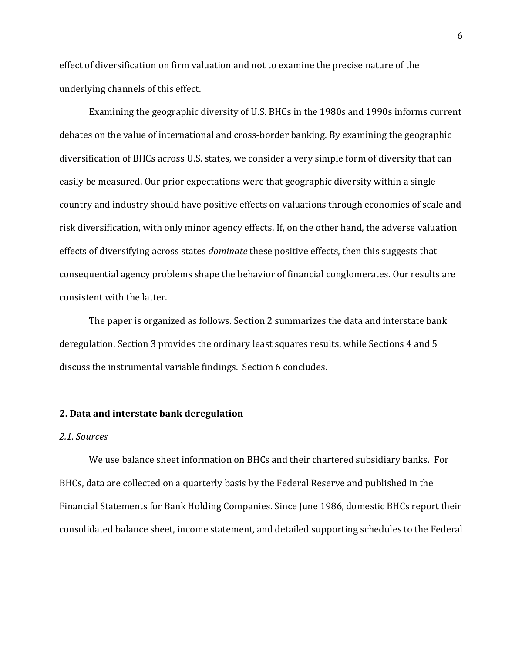effect of diversification on firm valuation and not to examine the precise nature of the underlying channels of this effect.

Examining the geographic diversity of U.S. BHCs in the 1980s and 1990s informs current debates on the value of international and cross-border banking. By examining the geographic diversification of BHCs across U.S. states, we consider a very simple form of diversity that can easily be measured. Our prior expectations were that geographic diversity within a single country and industry should have positive effects on valuations through economies of scale and risk diversification, with only minor agency effects. If, on the other hand, the adverse valuation effects of diversifying across states *dominate* these positive effects, then this suggests that consequential agency problems shape the behavior of financial conglomerates. Our results are consistent with the latter.

The paper is organized as follows. Section 2 summarizes the data and interstate bank deregulation. Section 3 provides the ordinary least squares results, while Sections 4 and 5 discuss the instrumental variable findings. Section 6 concludes.

# **2. Data and interstate bank deregulation**

# *2.1. Sources*

We use balance sheet information on BHCs and their chartered subsidiary banks. For BHCs, data are collected on a quarterly basis by the Federal Reserve and published in the Financial Statements for Bank Holding Companies. Since June 1986, domestic BHCs report their consolidated balance sheet, income statement, and detailed supporting schedules to the Federal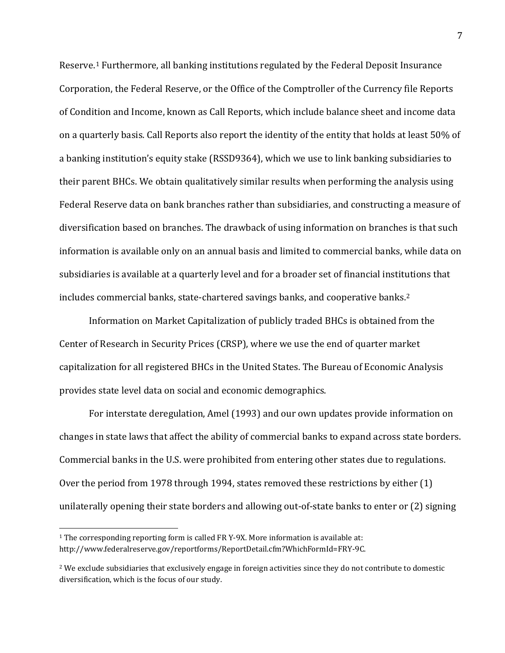Reserve.[1](#page-8-0) Furthermore, all banking institutions regulated by the Federal Deposit Insurance Corporation, the Federal Reserve, or the Office of the Comptroller of the Currency file Reports of Condition and Income, known as Call Reports, which include balance sheet and income data on a quarterly basis. Call Reports also report the identity of the entity that holds at least 50% of a banking institution's equity stake (RSSD9364), which we use to link banking subsidiaries to their parent BHCs. We obtain qualitatively similar results when performing the analysis using Federal Reserve data on bank branches rather than subsidiaries, and constructing a measure of diversification based on branches. The drawback of using information on branches is that such information is available only on an annual basis and limited to commercial banks, while data on subsidiaries is available at a quarterly level and for a broader set of financial institutions that includes commercial banks, state-chartered savings banks, and cooperative banks.[2](#page-8-1)

Information on Market Capitalization of publicly traded BHCs is obtained from the Center of Research in Security Prices (CRSP), where we use the end of quarter market capitalization for all registered BHCs in the United States. The Bureau of Economic Analysis provides state level data on social and economic demographics.

For interstate deregulation, Amel (1993) and our own updates provide information on changes in state laws that affect the ability of commercial banks to expand across state borders. Commercial banks in the U.S. were prohibited from entering other states due to regulations. Over the period from 1978 through 1994, states removed these restrictions by either (1) unilaterally opening their state borders and allowing out-of-state banks to enter or (2) signing

<span id="page-8-0"></span> <sup>1</sup> The corresponding reporting form is called FR Y-9X. More information is available at: [http://www.federalreserve.gov/reportforms/ReportDetail.cfm?Whic](http://www.federalreserve.gov/reportforms/ReportDetail.cfm)hFormId=FRY-9C.

<span id="page-8-1"></span><sup>&</sup>lt;sup>2</sup> We exclude subsidiaries that exclusively engage in foreign activities since they do not contribute to domestic diversification, which is the focus of our study.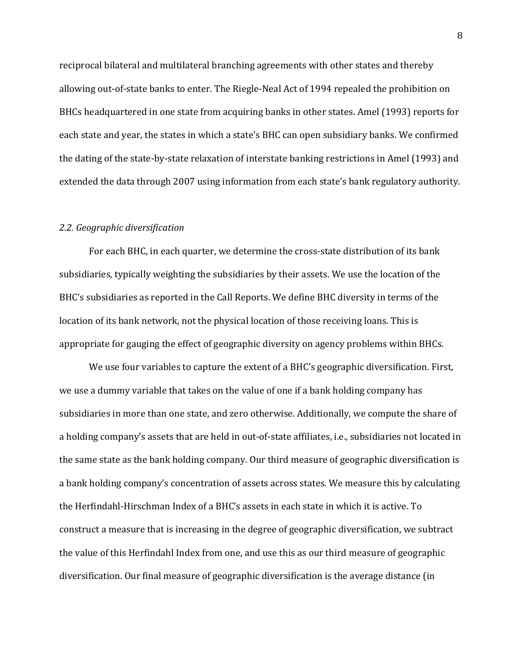reciprocal bilateral and multilateral branching agreements with other states and thereby allowing out-of-state banks to enter. The Riegle-Neal Act of 1994 repealed the prohibition on BHCs headquartered in one state from acquiring banks in other states. Amel (1993) reports for each state and year, the states in which a state's BHC can open subsidiary banks. We confirmed the dating of the state-by-state relaxation of interstate banking restrictions in Amel (1993) and extended the data through 2007 using information from each state's bank regulatory authority.

# *2.2. Geographic diversification*

For each BHC, in each quarter, we determine the cross-state distribution of its bank subsidiaries, typically weighting the subsidiaries by their assets. We use the location of the BHC's subsidiaries as reported in the Call Reports. We define BHC diversity in terms of the location of its bank network, not the physical location of those receiving loans. This is appropriate for gauging the effect of geographic diversity on agency problems within BHCs.

We use four variables to capture the extent of a BHC's geographic diversification. First, we use a dummy variable that takes on the value of one if a bank holding company has subsidiaries in more than one state, and zero otherwise. Additionally, we compute the share of a holding company's assets that are held in out-of-state affiliates, i.e., subsidiaries not located in the same state as the bank holding company. Our third measure of geographic diversification is a bank holding company's concentration of assets across states. We measure this by calculating the Herfindahl-Hirschman Index of a BHC's assets in each state in which it is active. To construct a measure that is increasing in the degree of geographic diversification, we subtract the value of this Herfindahl Index from one, and use this as our third measure of geographic diversification. Our final measure of geographic diversification is the average distance (in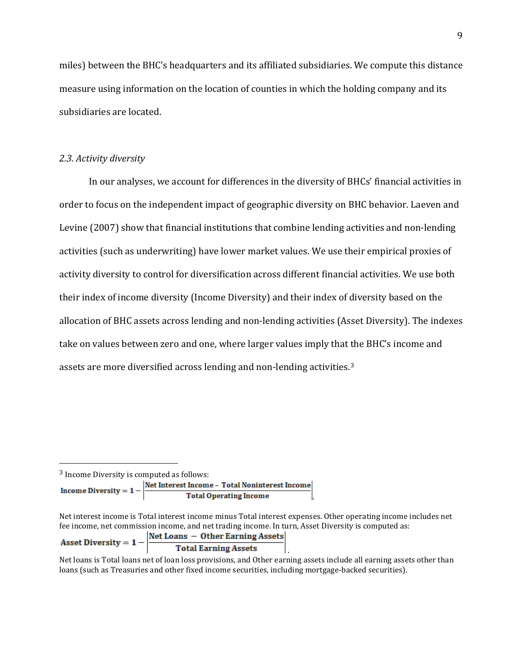miles) between the BHC's headquarters and its affiliated subsidiaries. We compute this distance measure using information on the location of counties in which the holding company and its subsidiaries are located.

# *2.3. Activity diversity*

In our analyses, we account for differences in the diversity of BHCs' financial activities in order to focus on the independent impact of geographic diversity on BHC behavior. Laeven and Levine (2007) show that financial institutions that combine lending activities and non-lending activities (such as underwriting) have lower market values. We use their empirical proxies of activity diversity to control for diversification across different financial activities. We use both their index of income diversity (Income Diversity) and their index of diversity based on the allocation of BHC assets across lending and non-lending activities (Asset Diversity). The indexes take on values between zero and one, where larger values imply that the BHC's income and assets are more diversified across lending and non-lending activities.[3](#page-10-0)

<span id="page-10-0"></span><sup>3</sup> Income Diversity is computed as follows:<br>Net Interest Income – Total Noninterest Income Income Diversity =  $1$ **Total Operating Income** .

Net interest income is Total interest income minus Total interest expenses. Other operating income includes net fee income, net commission income, and net trading income. In turn, Asset Diversity is computed as:

| Asset Diversity $= 1 -$ | Net Loans – Other Earning Assets |  |
|-------------------------|----------------------------------|--|
|                         | <b>Total Earning Assets</b>      |  |

Net loans is Total loans net of loan loss provisions, and Other earning assets include all earning assets other than loans (such as Treasuries and other fixed income securities, including mortgage-backed securities).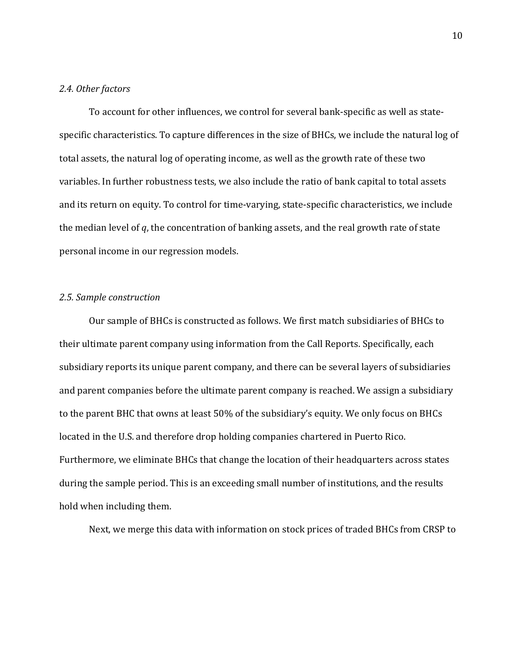### *2.4. Other factors*

To account for other influences, we control for several bank-specific as well as statespecific characteristics. To capture differences in the size of BHCs, we include the natural log of total assets, the natural log of operating income, as well as the growth rate of these two variables. In further robustness tests, we also include the ratio of bank capital to total assets and its return on equity. To control for time-varying, state-specific characteristics, we include the median level of *q*, the concentration of banking assets, and the real growth rate of state personal income in our regression models.

### *2.5. Sample construction*

Our sample of BHCs is constructed as follows. We first match subsidiaries of BHCs to their ultimate parent company using information from the Call Reports. Specifically, each subsidiary reports its unique parent company, and there can be several layers of subsidiaries and parent companies before the ultimate parent company is reached. We assign a subsidiary to the parent BHC that owns at least 50% of the subsidiary's equity. We only focus on BHCs located in the U.S. and therefore drop holding companies chartered in Puerto Rico. Furthermore, we eliminate BHCs that change the location of their headquarters across states during the sample period. This is an exceeding small number of institutions, and the results hold when including them.

Next, we merge this data with information on stock prices of traded BHCs from CRSP to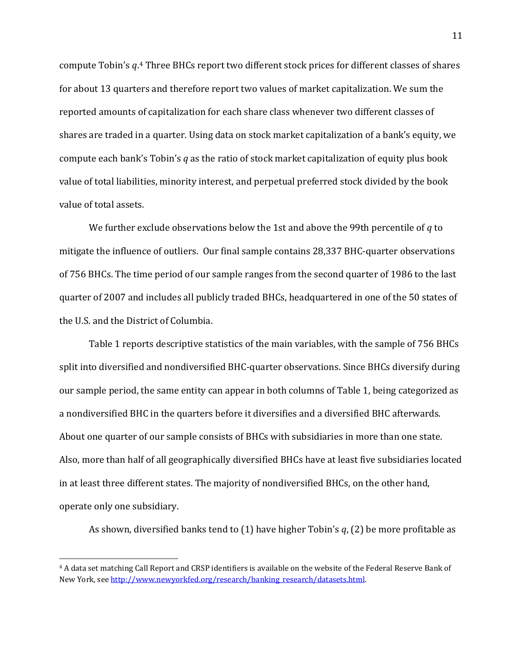compute Tobin's *q*. [4](#page-12-0) Three BHCs report two different stock prices for different classes of shares for about 13 quarters and therefore report two values of market capitalization. We sum the reported amounts of capitalization for each share class whenever two different classes of shares are traded in a quarter. Using data on stock market capitalization of a bank's equity, we compute each bank's Tobin's *q* as the ratio of stock market capitalization of equity plus book value of total liabilities, minority interest, and perpetual preferred stock divided by the book value of total assets.

We further exclude observations below the 1st and above the 99th percentile of *q* to mitigate the influence of outliers. Our final sample contains 28,337 BHC-quarter observations of 756 BHCs. The time period of our sample ranges from the second quarter of 1986 to the last quarter of 2007 and includes all publicly traded BHCs, headquartered in one of the 50 states of the U.S. and the District of Columbia.

Table 1 reports descriptive statistics of the main variables, with the sample of 756 BHCs split into diversified and nondiversified BHC-quarter observations. Since BHCs diversify during our sample period, the same entity can appear in both columns of Table 1, being categorized as a nondiversified BHC in the quarters before it diversifies and a diversified BHC afterwards. About one quarter of our sample consists of BHCs with subsidiaries in more than one state. Also, more than half of all geographically diversified BHCs have at least five subsidiaries located in at least three different states. The majority of nondiversified BHCs, on the other hand, operate only one subsidiary.

As shown, diversified banks tend to (1) have higher Tobin's *q*, (2) be more profitable as

<span id="page-12-0"></span> <sup>4</sup> A data set matching Call Report and CRSP identifiers is available on the website of the Federal Reserve Bank of New York, se[e http://www.newyorkfed.org/research/banking\\_research/datasets.html.](http://www.newyorkfed.org/research/banking_research/datasets.html)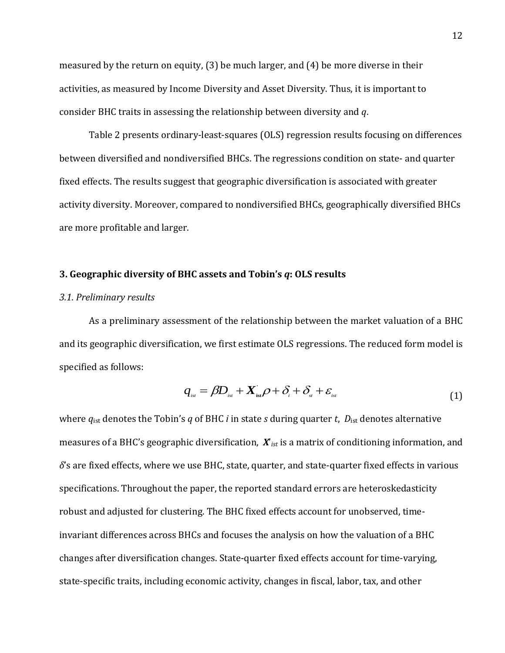measured by the return on equity, (3) be much larger, and (4) be more diverse in their activities, as measured by Income Diversity and Asset Diversity. Thus, it is important to consider BHC traits in assessing the relationship between diversity and *q*.

Table 2 presents ordinary-least-squares (OLS) regression results focusing on differences between diversified and nondiversified BHCs. The regressions condition on state- and quarter fixed effects. The results suggest that geographic diversification is associated with greater activity diversity. Moreover, compared to nondiversified BHCs, geographically diversified BHCs are more profitable and larger.

#### **3. Geographic diversity of BHC assets and Tobin's** *q***: OLS results**

#### *3.1. Preliminary results*

As a preliminary assessment of the relationship between the market valuation of a BHC and its geographic diversification, we first estimate OLS regressions. The reduced form model is specified as follows:

$$
q_{_{ist}} = \beta D_{_{ist}} + X_{_{ist}}^{\dagger} \rho + \delta_{_{i}} + \delta_{_{st}} + \varepsilon_{_{ist}}
$$
\n(1)

where *q*ist denotes the Tobin's *q* of BHC *i* in state *s* during quarter *t*, *D*ist denotes alternative measures of a BHC's geographic diversification, *X*'*ist* is a matrix of conditioning information, and *δ*'s are fixed effects, where we use BHC, state, quarter, and state-quarter fixed effects in various specifications. Throughout the paper, the reported standard errors are heteroskedasticity robust and adjusted for clustering. The BHC fixed effects account for unobserved, timeinvariant differences across BHCs and focuses the analysis on how the valuation of a BHC changes after diversification changes. State-quarter fixed effects account for time-varying, state-specific traits, including economic activity, changes in fiscal, labor, tax, and other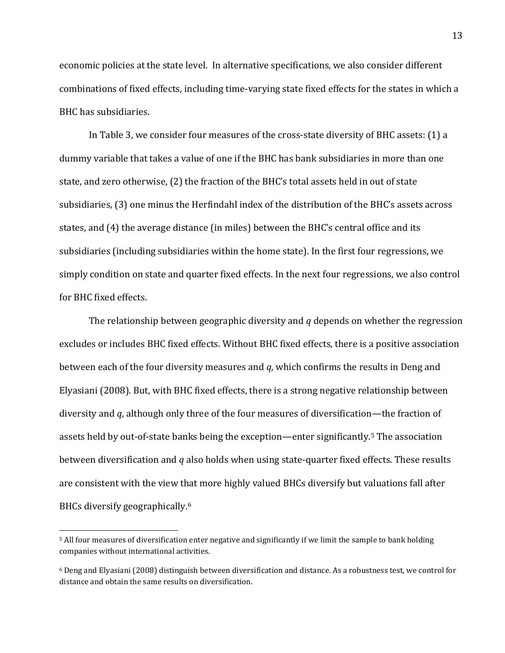economic policies at the state level. In alternative specifications, we also consider different combinations of fixed effects, including time-varying state fixed effects for the states in which a BHC has subsidiaries.

In Table 3, we consider four measures of the cross-state diversity of BHC assets: (1) a dummy variable that takes a value of one if the BHC has bank subsidiaries in more than one state, and zero otherwise, (2) the fraction of the BHC's total assets held in out of state subsidiaries, (3) one minus the Herfindahl index of the distribution of the BHC's assets across states, and (4) the average distance (in miles) between the BHC's central office and its subsidiaries (including subsidiaries within the home state). In the first four regressions, we simply condition on state and quarter fixed effects. In the next four regressions, we also control for BHC fixed effects.

The relationship between geographic diversity and *q* depends on whether the regression excludes or includes BHC fixed effects. Without BHC fixed effects, there is a positive association between each of the four diversity measures and *q*, which confirms the results in Deng and Elyasiani (2008). But, with BHC fixed effects, there is a strong negative relationship between diversity and *q*, although only three of the four measures of diversification—the fraction of assets held by out-of-state banks being the exception—enter significantly.[5](#page-14-0) The association between diversification and *q* also holds when using state-quarter fixed effects. These results are consistent with the view that more highly valued BHCs diversify but valuations fall after BHCs diversify geographically.[6](#page-14-1)

<span id="page-14-0"></span> <sup>5</sup> All four measures of diversification enter negative and significantly if we limit the sample to bank holding companies without international activities.

<span id="page-14-1"></span><sup>6</sup> Deng and Elyasiani (2008) distinguish between diversification and distance. As a robustness test, we control for distance and obtain the same results on diversification.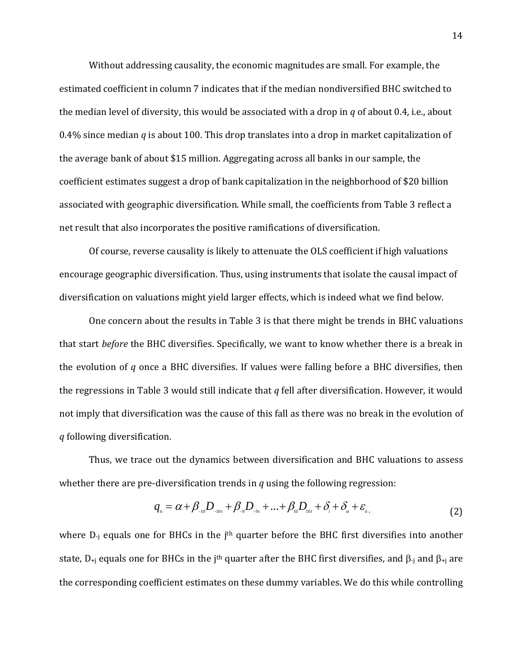Without addressing causality, the economic magnitudes are small. For example, the estimated coefficient in column 7 indicates that if the median nondiversified BHC switched to the median level of diversity, this would be associated with a drop in *q* of about 0.4, i.e., about 0.4% since median *q* is about 100. This drop translates into a drop in market capitalization of the average bank of about \$15 million. Aggregating across all banks in our sample, the coefficient estimates suggest a drop of bank capitalization in the neighborhood of \$20 billion associated with geographic diversification. While small, the coefficients from Table 3 reflect a net result that also incorporates the positive ramifications of diversification.

Of course, reverse causality is likely to attenuate the OLS coefficient if high valuations encourage geographic diversification. Thus, using instruments that isolate the causal impact of diversification on valuations might yield larger effects, which is indeed what we find below.

One concern about the results in Table 3 is that there might be trends in BHC valuations that start *before* the BHC diversifies. Specifically, we want to know whether there is a break in the evolution of *q* once a BHC diversifies. If values were falling before a BHC diversifies, then the regressions in Table 3 would still indicate that *q* fell after diversification. However, it would not imply that diversification was the cause of this fall as there was no break in the evolution of *q* following diversification.

Thus, we trace out the dynamics between diversification and BHC valuations to assess whether there are pre-diversification trends in *q* using the following regression:

$$
q_{u} = \alpha + \beta_{-10}D_{-10t} + \beta_{-9}D_{-9t} + ... + \beta_{10}D_{10t} + \delta_{i} + \delta_{st} + \varepsilon_{u},
$$
\n(2)

where  $D_i$  equals one for BHCs in the j<sup>th</sup> quarter before the BHC first diversifies into another state,  $D_{+i}$  equals one for BHCs in the j<sup>th</sup> quarter after the BHC first diversifies, and  $\beta_{-i}$  and  $\beta_{+i}$  are the corresponding coefficient estimates on these dummy variables. We do this while controlling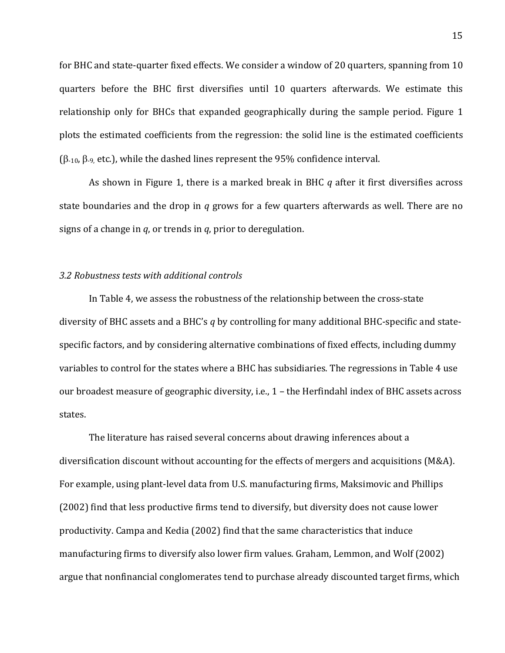for BHC and state-quarter fixed effects. We consider a window of 20 quarters, spanning from 10 quarters before the BHC first diversifies until 10 quarters afterwards. We estimate this relationship only for BHCs that expanded geographically during the sample period. Figure 1 plots the estimated coefficients from the regression: the solid line is the estimated coefficients ( $β$ -10,  $β$ -9, etc.), while the dashed lines represent the 95% confidence interval.

As shown in Figure 1, there is a marked break in BHC *q* after it first diversifies across state boundaries and the drop in *q* grows for a few quarters afterwards as well. There are no signs of a change in *q*, or trends in *q*, prior to deregulation.

# *3.2 Robustness tests with additional controls*

In Table 4, we assess the robustness of the relationship between the cross-state diversity of BHC assets and a BHC's *q* by controlling for many additional BHC-specific and statespecific factors, and by considering alternative combinations of fixed effects, including dummy variables to control for the states where a BHC has subsidiaries. The regressions in Table 4 use our broadest measure of geographic diversity, i.e., 1 – the Herfindahl index of BHC assets across states.

The literature has raised several concerns about drawing inferences about a diversification discount without accounting for the effects of mergers and acquisitions (M&A). For example, using plant-level data from U.S. manufacturing firms, Maksimovic and Phillips (2002) find that less productive firms tend to diversify, but diversity does not cause lower productivity. Campa and Kedia (2002) find that the same characteristics that induce manufacturing firms to diversify also lower firm values. Graham, Lemmon, and Wolf (2002) argue that nonfinancial conglomerates tend to purchase already discounted target firms, which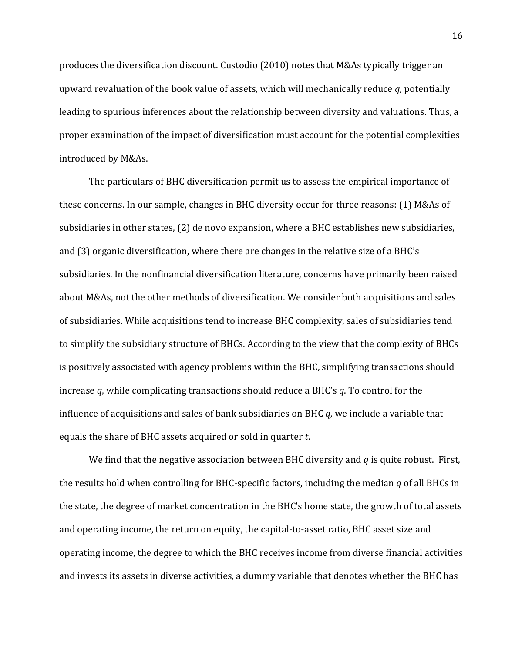produces the diversification discount. Custodio (2010) notes that M&As typically trigger an upward revaluation of the book value of assets, which will mechanically reduce *q*, potentially leading to spurious inferences about the relationship between diversity and valuations. Thus, a proper examination of the impact of diversification must account for the potential complexities introduced by M&As.

The particulars of BHC diversification permit us to assess the empirical importance of these concerns. In our sample, changes in BHC diversity occur for three reasons: (1) M&As of subsidiaries in other states, (2) de novo expansion, where a BHC establishes new subsidiaries, and (3) organic diversification, where there are changes in the relative size of a BHC's subsidiaries. In the nonfinancial diversification literature, concerns have primarily been raised about M&As, not the other methods of diversification. We consider both acquisitions and sales of subsidiaries. While acquisitions tend to increase BHC complexity, sales of subsidiaries tend to simplify the subsidiary structure of BHCs. According to the view that the complexity of BHCs is positively associated with agency problems within the BHC, simplifying transactions should increase *q*, while complicating transactions should reduce a BHC's *q*. To control for the influence of acquisitions and sales of bank subsidiaries on BHC *q*, we include a variable that equals the share of BHC assets acquired or sold in quarter *t*.

We find that the negative association between BHC diversity and *q* is quite robust. First, the results hold when controlling for BHC-specific factors, including the median *q* of all BHCs in the state, the degree of market concentration in the BHC's home state, the growth of total assets and operating income, the return on equity, the capital-to-asset ratio, BHC asset size and operating income, the degree to which the BHC receives income from diverse financial activities and invests its assets in diverse activities, a dummy variable that denotes whether the BHC has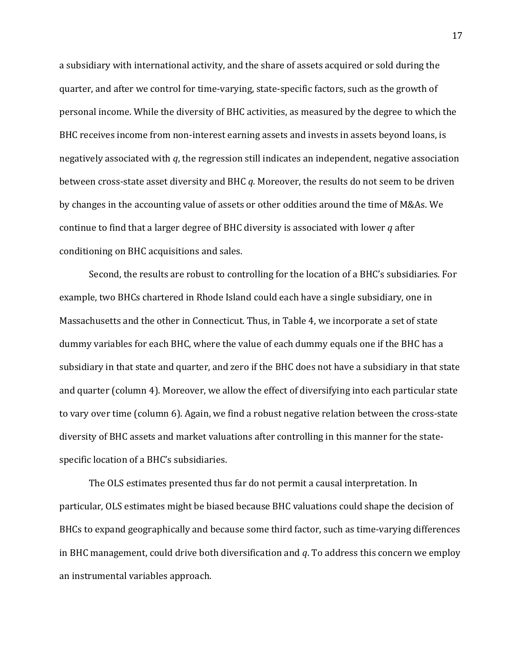a subsidiary with international activity, and the share of assets acquired or sold during the quarter, and after we control for time-varying, state-specific factors, such as the growth of personal income. While the diversity of BHC activities, as measured by the degree to which the BHC receives income from non-interest earning assets and invests in assets beyond loans, is negatively associated with *q*, the regression still indicates an independent, negative association between cross-state asset diversity and BHC *q*. Moreover, the results do not seem to be driven by changes in the accounting value of assets or other oddities around the time of M&As. We continue to find that a larger degree of BHC diversity is associated with lower *q* after conditioning on BHC acquisitions and sales.

Second, the results are robust to controlling for the location of a BHC's subsidiaries. For example, two BHCs chartered in Rhode Island could each have a single subsidiary, one in Massachusetts and the other in Connecticut. Thus, in Table 4, we incorporate a set of state dummy variables for each BHC, where the value of each dummy equals one if the BHC has a subsidiary in that state and quarter, and zero if the BHC does not have a subsidiary in that state and quarter (column 4). Moreover, we allow the effect of diversifying into each particular state to vary over time (column 6). Again, we find a robust negative relation between the cross-state diversity of BHC assets and market valuations after controlling in this manner for the statespecific location of a BHC's subsidiaries.

The OLS estimates presented thus far do not permit a causal interpretation. In particular, OLS estimates might be biased because BHC valuations could shape the decision of BHCs to expand geographically and because some third factor, such as time-varying differences in BHC management, could drive both diversification and *q*. To address this concern we employ an instrumental variables approach.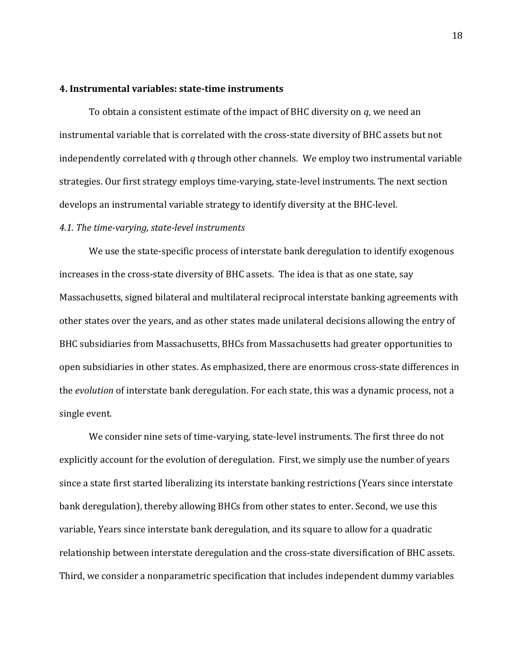#### **4. Instrumental variables: state-time instruments**

To obtain a consistent estimate of the impact of BHC diversity on *q*, we need an instrumental variable that is correlated with the cross-state diversity of BHC assets but not independently correlated with *q* through other channels. We employ two instrumental variable strategies. Our first strategy employs time-varying, state-level instruments. The next section develops an instrumental variable strategy to identify diversity at the BHC-level.

## *4.1. The time-varying, state-level instruments*

We use the state-specific process of interstate bank deregulation to identify exogenous increases in the cross-state diversity of BHC assets. The idea is that as one state, say Massachusetts, signed bilateral and multilateral reciprocal interstate banking agreements with other states over the years, and as other states made unilateral decisions allowing the entry of BHC subsidiaries from Massachusetts, BHCs from Massachusetts had greater opportunities to open subsidiaries in other states. As emphasized, there are enormous cross-state differences in the *evolution* of interstate bank deregulation. For each state, this was a dynamic process, not a single event.

We consider nine sets of time-varying, state-level instruments. The first three do not explicitly account for the evolution of deregulation. First, we simply use the number of years since a state first started liberalizing its interstate banking restrictions (Years since interstate bank deregulation), thereby allowing BHCs from other states to enter. Second, we use this variable, Years since interstate bank deregulation, and its square to allow for a quadratic relationship between interstate deregulation and the cross-state diversification of BHC assets. Third, we consider a nonparametric specification that includes independent dummy variables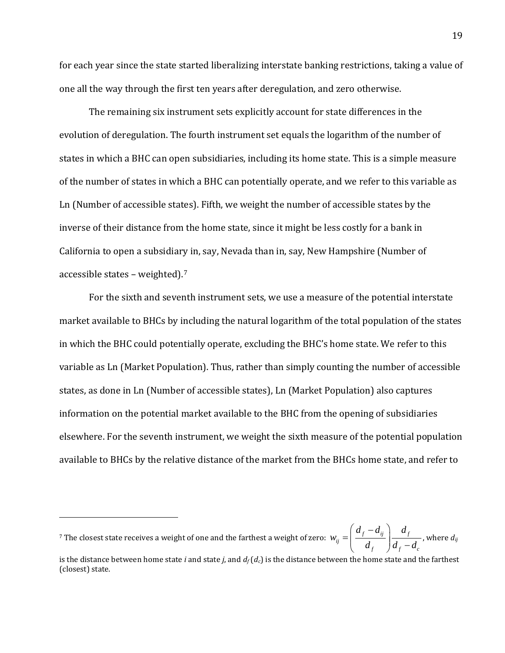for each year since the state started liberalizing interstate banking restrictions, taking a value of one all the way through the first ten years after deregulation, and zero otherwise.

The remaining six instrument sets explicitly account for state differences in the evolution of deregulation. The fourth instrument set equals the logarithm of the number of states in which a BHC can open subsidiaries, including its home state. This is a simple measure of the number of states in which a BHC can potentially operate, and we refer to this variable as Ln (Number of accessible states). Fifth, we weight the number of accessible states by the inverse of their distance from the home state, since it might be less costly for a bank in California to open a subsidiary in, say, Nevada than in, say, New Hampshire (Number of accessible states – weighted). [7](#page-20-0)

For the sixth and seventh instrument sets, we use a measure of the potential interstate market available to BHCs by including the natural logarithm of the total population of the states in which the BHC could potentially operate, excluding the BHC's home state. We refer to this variable as Ln (Market Population). Thus, rather than simply counting the number of accessible states, as done in Ln (Number of accessible states), Ln (Market Population) also captures information on the potential market available to the BHC from the opening of subsidiaries elsewhere. For the seventh instrument, we weight the sixth measure of the potential population available to BHCs by the relative distance of the market from the BHCs home state, and refer to

<span id="page-20-0"></span><sup>7</sup> The closest state receives a weight of one and the farthest a weight of zero:  $w_{ij} = \frac{d f}{d} \frac{d f}{d} \frac{d f}{d f}$ f  $\int u_f u_c$  $d_{\scriptscriptstyle f} - d_{\scriptscriptstyle ii}$  d *w*  $=\left(\frac{d_f-d_{ij}}{d_f}\right)\frac{d_f}{d_f-d}$ , where *dij*

i<br>I

is the distance between home state *i* and state *j*, and  $d_f(d_c)$  is the distance between the home state and the farthest (closest) state.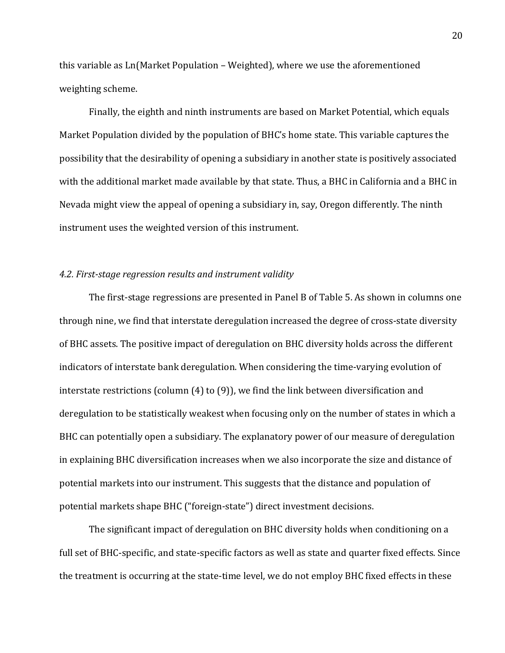this variable as Ln(Market Population – Weighted), where we use the aforementioned weighting scheme.

Finally, the eighth and ninth instruments are based on Market Potential, which equals Market Population divided by the population of BHC's home state. This variable captures the possibility that the desirability of opening a subsidiary in another state is positively associated with the additional market made available by that state. Thus, a BHC in California and a BHC in Nevada might view the appeal of opening a subsidiary in, say, Oregon differently. The ninth instrument uses the weighted version of this instrument.

### *4.2. First-stage regression results and instrument validity*

The first-stage regressions are presented in Panel B of Table 5. As shown in columns one through nine, we find that interstate deregulation increased the degree of cross-state diversity of BHC assets. The positive impact of deregulation on BHC diversity holds across the different indicators of interstate bank deregulation. When considering the time-varying evolution of interstate restrictions (column (4) to (9)), we find the link between diversification and deregulation to be statistically weakest when focusing only on the number of states in which a BHC can potentially open a subsidiary. The explanatory power of our measure of deregulation in explaining BHC diversification increases when we also incorporate the size and distance of potential markets into our instrument. This suggests that the distance and population of potential markets shape BHC ("foreign-state") direct investment decisions.

The significant impact of deregulation on BHC diversity holds when conditioning on a full set of BHC-specific, and state-specific factors as well as state and quarter fixed effects. Since the treatment is occurring at the state-time level, we do not employ BHC fixed effects in these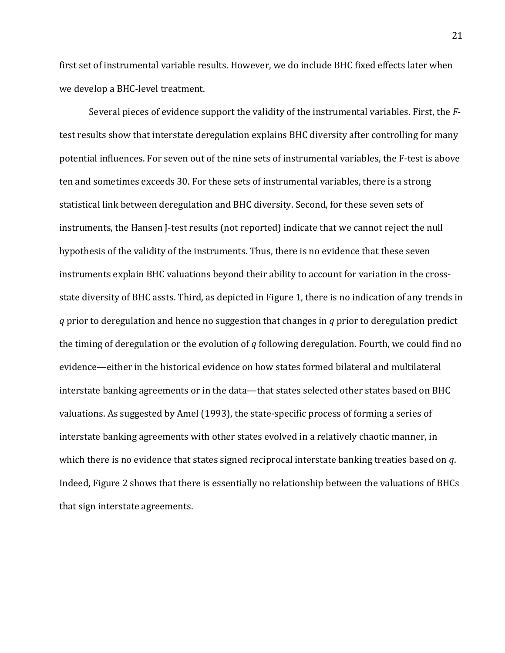first set of instrumental variable results. However, we do include BHC fixed effects later when we develop a BHC-level treatment.

Several pieces of evidence support the validity of the instrumental variables. First, the *F*test results show that interstate deregulation explains BHC diversity after controlling for many potential influences. For seven out of the nine sets of instrumental variables, the F-test is above ten and sometimes exceeds 30. For these sets of instrumental variables, there is a strong statistical link between deregulation and BHC diversity. Second, for these seven sets of instruments, the Hansen J-test results (not reported) indicate that we cannot reject the null hypothesis of the validity of the instruments. Thus, there is no evidence that these seven instruments explain BHC valuations beyond their ability to account for variation in the crossstate diversity of BHC assts. Third, as depicted in Figure 1, there is no indication of any trends in *q* prior to deregulation and hence no suggestion that changes in *q* prior to deregulation predict the timing of deregulation or the evolution of *q* following deregulation. Fourth, we could find no evidence—either in the historical evidence on how states formed bilateral and multilateral interstate banking agreements or in the data—that states selected other states based on BHC valuations. As suggested by Amel (1993), the state-specific process of forming a series of interstate banking agreements with other states evolved in a relatively chaotic manner, in which there is no evidence that states signed reciprocal interstate banking treaties based on *q*. Indeed, Figure 2 shows that there is essentially no relationship between the valuations of BHCs that sign interstate agreements.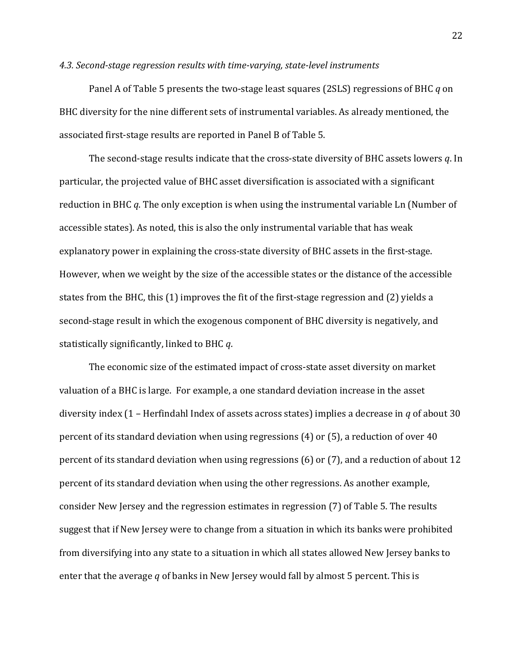#### *4.3. Second-stage regression results with time-varying, state-level instruments*

Panel A of Table 5 presents the two-stage least squares (2SLS) regressions of BHC *q* on BHC diversity for the nine different sets of instrumental variables. As already mentioned, the associated first-stage results are reported in Panel B of Table 5.

The second-stage results indicate that the cross-state diversity of BHC assets lowers *q*. In particular, the projected value of BHC asset diversification is associated with a significant reduction in BHC *q*. The only exception is when using the instrumental variable Ln (Number of accessible states). As noted, this is also the only instrumental variable that has weak explanatory power in explaining the cross-state diversity of BHC assets in the first-stage. However, when we weight by the size of the accessible states or the distance of the accessible states from the BHC, this (1) improves the fit of the first-stage regression and (2) yields a second-stage result in which the exogenous component of BHC diversity is negatively, and statistically significantly, linked to BHC *q*.

The economic size of the estimated impact of cross-state asset diversity on market valuation of a BHC is large. For example, a one standard deviation increase in the asset diversity index (1 – Herfindahl Index of assets across states) implies a decrease in *q* of about 30 percent of its standard deviation when using regressions (4) or (5), a reduction of over 40 percent of its standard deviation when using regressions (6) or (7), and a reduction of about 12 percent of its standard deviation when using the other regressions. As another example, consider New Jersey and the regression estimates in regression (7) of Table 5. The results suggest that if New Jersey were to change from a situation in which its banks were prohibited from diversifying into any state to a situation in which all states allowed New Jersey banks to enter that the average *q* of banks in New Jersey would fall by almost 5 percent. This is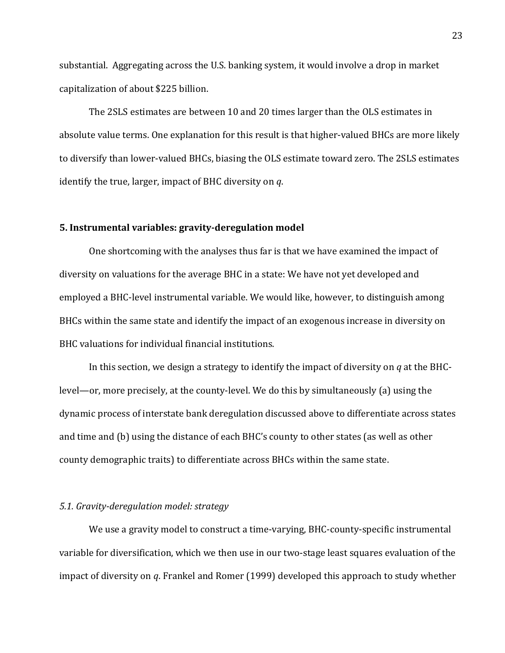substantial. Aggregating across the U.S. banking system, it would involve a drop in market capitalization of about \$225 billion.

The 2SLS estimates are between 10 and 20 times larger than the OLS estimates in absolute value terms. One explanation for this result is that higher-valued BHCs are more likely to diversify than lower-valued BHCs, biasing the OLS estimate toward zero. The 2SLS estimates identify the true, larger, impact of BHC diversity on *q*.

# **5. Instrumental variables: gravity-deregulation model**

One shortcoming with the analyses thus far is that we have examined the impact of diversity on valuations for the average BHC in a state: We have not yet developed and employed a BHC-level instrumental variable. We would like, however, to distinguish among BHCs within the same state and identify the impact of an exogenous increase in diversity on BHC valuations for individual financial institutions.

In this section, we design a strategy to identify the impact of diversity on *q* at the BHClevel—or, more precisely, at the county-level. We do this by simultaneously (a) using the dynamic process of interstate bank deregulation discussed above to differentiate across states and time and (b) using the distance of each BHC's county to other states (as well as other county demographic traits) to differentiate across BHCs within the same state.

#### *5.1. Gravity-deregulation model: strategy*

We use a gravity model to construct a time-varying, BHC-county-specific instrumental variable for diversification, which we then use in our two-stage least squares evaluation of the impact of diversity on *q*. Frankel and Romer (1999) developed this approach to study whether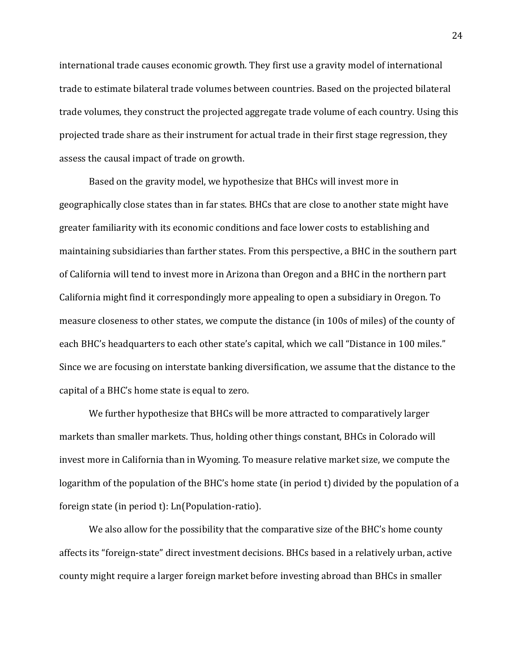international trade causes economic growth. They first use a gravity model of international trade to estimate bilateral trade volumes between countries. Based on the projected bilateral trade volumes, they construct the projected aggregate trade volume of each country. Using this projected trade share as their instrument for actual trade in their first stage regression, they assess the causal impact of trade on growth.

Based on the gravity model, we hypothesize that BHCs will invest more in geographically close states than in far states. BHCs that are close to another state might have greater familiarity with its economic conditions and face lower costs to establishing and maintaining subsidiaries than farther states. From this perspective, a BHC in the southern part of California will tend to invest more in Arizona than Oregon and a BHC in the northern part California might find it correspondingly more appealing to open a subsidiary in Oregon. To measure closeness to other states, we compute the distance (in 100s of miles) of the county of each BHC's headquarters to each other state's capital, which we call "Distance in 100 miles." Since we are focusing on interstate banking diversification, we assume that the distance to the capital of a BHC's home state is equal to zero.

We further hypothesize that BHCs will be more attracted to comparatively larger markets than smaller markets. Thus, holding other things constant, BHCs in Colorado will invest more in California than in Wyoming. To measure relative market size, we compute the logarithm of the population of the BHC's home state (in period t) divided by the population of a foreign state (in period t): Ln(Population-ratio).

We also allow for the possibility that the comparative size of the BHC's home county affects its "foreign-state" direct investment decisions. BHCs based in a relatively urban, active county might require a larger foreign market before investing abroad than BHCs in smaller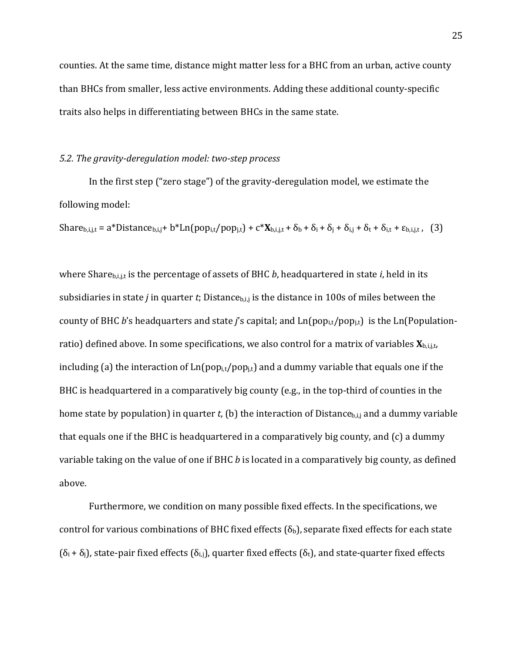counties. At the same time, distance might matter less for a BHC from an urban, active county than BHCs from smaller, less active environments. Adding these additional county-specific traits also helps in differentiating between BHCs in the same state.

### *5.2. The gravity-deregulation model: two-step process*

In the first step ("zero stage") of the gravity-deregulation model, we estimate the following model:

Share<sub>b,i,j,t</sub> = a\*Distance<sub>b,i,j</sub>+ b\*Ln(pop<sub>i,t</sub>/pop<sub>i,t</sub>) + c\* $X_{b,i,j,t} + \delta_b + \delta_i + \delta_j + \delta_{i,j} + \delta_t + \delta_{i,t} + \epsilon_{b,i,j,t}$ , (3)

where Share<sub>b,i,j</sub> is the percentage of assets of BHC *b*, headquartered in state *i*, held in its subsidiaries in state *j* in quarter *t*; Distance<sub>b,i,j</sub> is the distance in 100s of miles between the county of BHC *b*'s headquarters and state *j*'s capital; and Ln(popi,t/popj,t) is the Ln(Populationratio) defined above. In some specifications, we also control for a matrix of variables **X**b,i,j,t, including (a) the interaction of  $Ln(pop_{i,t}/pop_{i,t})$  and a dummy variable that equals one if the BHC is headquartered in a comparatively big county (e.g., in the top-third of counties in the home state by population) in quarter *t*, (b) the interaction of Distance<sub>b,i,j</sub> and a dummy variable that equals one if the BHC is headquartered in a comparatively big county, and (c) a dummy variable taking on the value of one if BHC *b* is located in a comparatively big county, as defined above.

Furthermore, we condition on many possible fixed effects. In the specifications, we control for various combinations of BHC fixed effects ( $\delta_b$ ), separate fixed effects for each state  $(\delta_i + \delta_j)$ , state-pair fixed effects  $(\delta_{i,j})$ , quarter fixed effects  $(\delta_t)$ , and state-quarter fixed effects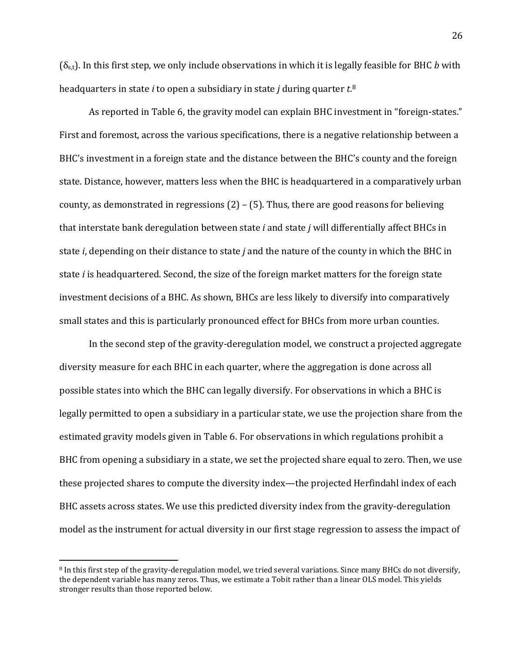(δs,t). In this first step, we only include observations in which it is legally feasible for BHC *b* with headquarters in state *i* to open a subsidiary in state *j* during quarter *t*. [8](#page-27-0)

As reported in Table 6, the gravity model can explain BHC investment in "foreign-states." First and foremost, across the various specifications, there is a negative relationship between a BHC's investment in a foreign state and the distance between the BHC's county and the foreign state. Distance, however, matters less when the BHC is headquartered in a comparatively urban county, as demonstrated in regressions (2) – (5). Thus, there are good reasons for believing that interstate bank deregulation between state *i* and state *j* will differentially affect BHCs in state *i*, depending on their distance to state *j* and the nature of the county in which the BHC in state *i* is headquartered. Second, the size of the foreign market matters for the foreign state investment decisions of a BHC. As shown, BHCs are less likely to diversify into comparatively small states and this is particularly pronounced effect for BHCs from more urban counties.

In the second step of the gravity-deregulation model, we construct a projected aggregate diversity measure for each BHC in each quarter, where the aggregation is done across all possible states into which the BHC can legally diversify. For observations in which a BHC is legally permitted to open a subsidiary in a particular state, we use the projection share from the estimated gravity models given in Table 6. For observations in which regulations prohibit a BHC from opening a subsidiary in a state, we set the projected share equal to zero. Then, we use these projected shares to compute the diversity index—the projected Herfindahl index of each BHC assets across states. We use this predicted diversity index from the gravity-deregulation model as the instrument for actual diversity in our first stage regression to assess the impact of

<span id="page-27-0"></span> <sup>8</sup> In this first step of the gravity-deregulation model, we tried several variations. Since many BHCs do not diversify, the dependent variable has many zeros. Thus, we estimate a Tobit rather than a linear OLS model. This yields stronger results than those reported below.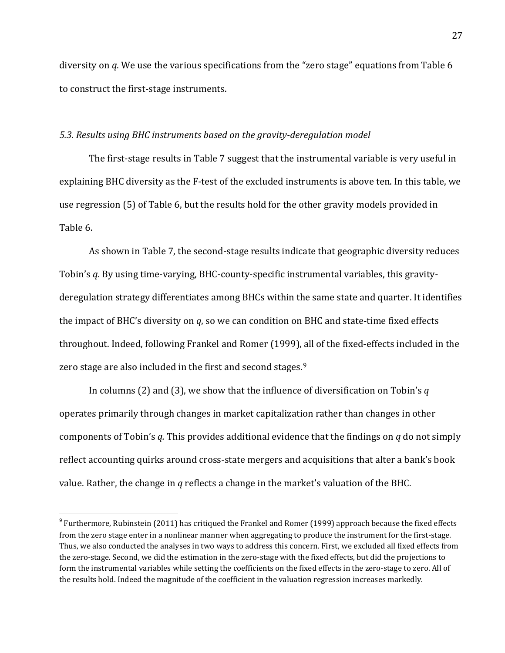diversity on *q*. We use the various specifications from the "zero stage" equations from Table 6 to construct the first-stage instruments.

#### *5.3. Results using BHC instruments based on the gravity-deregulation model*

The first-stage results in Table 7 suggest that the instrumental variable is very useful in explaining BHC diversity as the F-test of the excluded instruments is above ten. In this table, we use regression (5) of Table 6, but the results hold for the other gravity models provided in Table 6.

As shown in Table 7, the second-stage results indicate that geographic diversity reduces Tobin's *q*. By using time-varying, BHC-county-specific instrumental variables, this gravityderegulation strategy differentiates among BHCs within the same state and quarter. It identifies the impact of BHC's diversity on *q*, so we can condition on BHC and state-time fixed effects throughout. Indeed, following Frankel and Romer (1999), all of the fixed-effects included in the zero stage are also included in the first and second stages.<sup>[9](#page-28-0)</sup>

In columns (2) and (3), we show that the influence of diversification on Tobin's *q* operates primarily through changes in market capitalization rather than changes in other components of Tobin's *q.* This provides additional evidence that the findings on *q* do not simply reflect accounting quirks around cross-state mergers and acquisitions that alter a bank's book value. Rather, the change in *q* reflects a change in the market's valuation of the BHC.

<span id="page-28-0"></span> $9$  Furthermore, Rubinstein (2011) has critiqued the Frankel and Romer (1999) approach because the fixed effects from the zero stage enter in a nonlinear manner when aggregating to produce the instrument for the first-stage. Thus, we also conducted the analyses in two ways to address this concern. First, we excluded all fixed effects from the zero-stage. Second, we did the estimation in the zero-stage with the fixed effects, but did the projections to form the instrumental variables while setting the coefficients on the fixed effects in the zero-stage to zero. All of the results hold. Indeed the magnitude of the coefficient in the valuation regression increases markedly.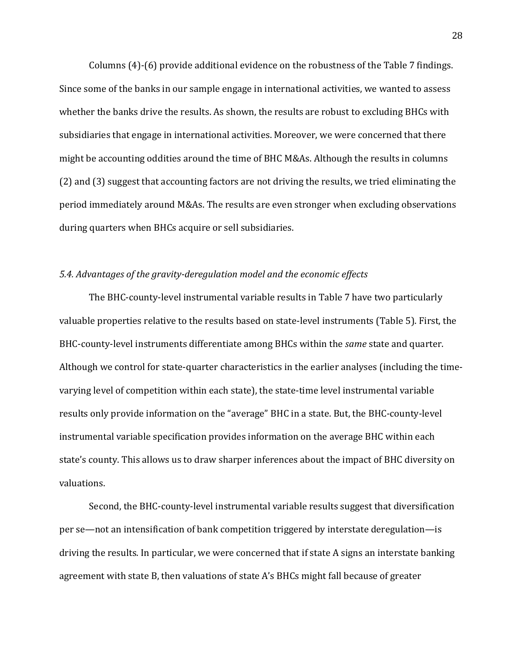Columns (4)-(6) provide additional evidence on the robustness of the Table 7 findings. Since some of the banks in our sample engage in international activities, we wanted to assess whether the banks drive the results. As shown, the results are robust to excluding BHCs with subsidiaries that engage in international activities. Moreover, we were concerned that there might be accounting oddities around the time of BHC M&As. Although the results in columns (2) and (3) suggest that accounting factors are not driving the results, we tried eliminating the period immediately around M&As. The results are even stronger when excluding observations during quarters when BHCs acquire or sell subsidiaries.

### *5.4. Advantages of the gravity-deregulation model and the economic effects*

The BHC-county-level instrumental variable results in Table 7 have two particularly valuable properties relative to the results based on state-level instruments (Table 5). First, the BHC-county-level instruments differentiate among BHCs within the *same* state and quarter. Although we control for state-quarter characteristics in the earlier analyses (including the timevarying level of competition within each state), the state-time level instrumental variable results only provide information on the "average" BHC in a state. But, the BHC-county-level instrumental variable specification provides information on the average BHC within each state's county. This allows us to draw sharper inferences about the impact of BHC diversity on valuations.

Second, the BHC-county-level instrumental variable results suggest that diversification per se—not an intensification of bank competition triggered by interstate deregulation—is driving the results. In particular, we were concerned that if state A signs an interstate banking agreement with state B, then valuations of state A's BHCs might fall because of greater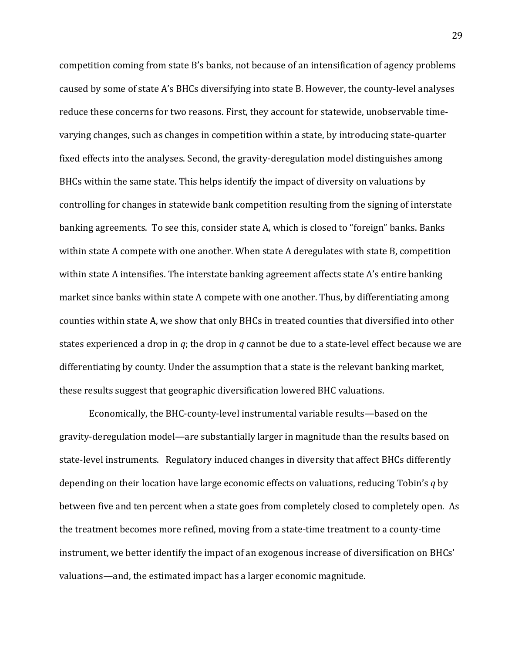competition coming from state B's banks, not because of an intensification of agency problems caused by some of state A's BHCs diversifying into state B. However, the county-level analyses reduce these concerns for two reasons. First, they account for statewide, unobservable timevarying changes, such as changes in competition within a state, by introducing state-quarter fixed effects into the analyses. Second, the gravity-deregulation model distinguishes among BHCs within the same state. This helps identify the impact of diversity on valuations by controlling for changes in statewide bank competition resulting from the signing of interstate banking agreements. To see this, consider state A, which is closed to "foreign" banks. Banks within state A compete with one another. When state A deregulates with state B, competition within state A intensifies. The interstate banking agreement affects state A's entire banking market since banks within state A compete with one another. Thus, by differentiating among counties within state A, we show that only BHCs in treated counties that diversified into other states experienced a drop in *q*; the drop in *q* cannot be due to a state-level effect because we are differentiating by county. Under the assumption that a state is the relevant banking market, these results suggest that geographic diversification lowered BHC valuations.

Economically, the BHC-county-level instrumental variable results—based on the gravity-deregulation model—are substantially larger in magnitude than the results based on state-level instruments. Regulatory induced changes in diversity that affect BHCs differently depending on their location have large economic effects on valuations, reducing Tobin's *q* by between five and ten percent when a state goes from completely closed to completely open. As the treatment becomes more refined, moving from a state-time treatment to a county-time instrument, we better identify the impact of an exogenous increase of diversification on BHCs' valuations—and, the estimated impact has a larger economic magnitude.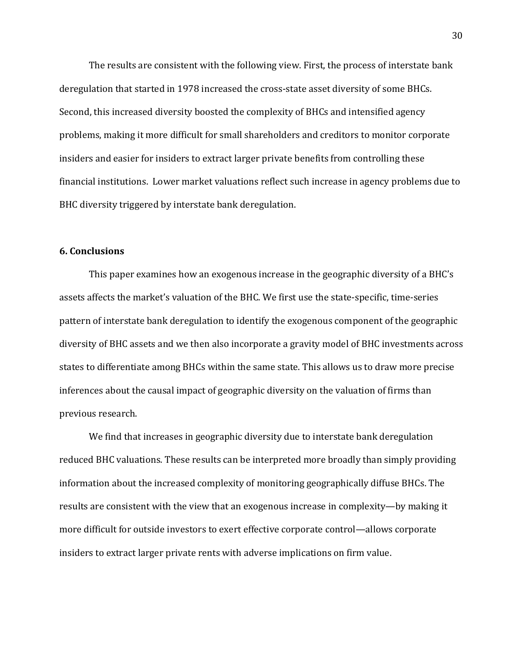The results are consistent with the following view. First, the process of interstate bank deregulation that started in 1978 increased the cross-state asset diversity of some BHCs. Second, this increased diversity boosted the complexity of BHCs and intensified agency problems, making it more difficult for small shareholders and creditors to monitor corporate insiders and easier for insiders to extract larger private benefits from controlling these financial institutions. Lower market valuations reflect such increase in agency problems due to BHC diversity triggered by interstate bank deregulation.

#### **6. Conclusions**

This paper examines how an exogenous increase in the geographic diversity of a BHC's assets affects the market's valuation of the BHC. We first use the state-specific, time-series pattern of interstate bank deregulation to identify the exogenous component of the geographic diversity of BHC assets and we then also incorporate a gravity model of BHC investments across states to differentiate among BHCs within the same state. This allows us to draw more precise inferences about the causal impact of geographic diversity on the valuation of firms than previous research.

We find that increases in geographic diversity due to interstate bank deregulation reduced BHC valuations. These results can be interpreted more broadly than simply providing information about the increased complexity of monitoring geographically diffuse BHCs. The results are consistent with the view that an exogenous increase in complexity—by making it more difficult for outside investors to exert effective corporate control—allows corporate insiders to extract larger private rents with adverse implications on firm value.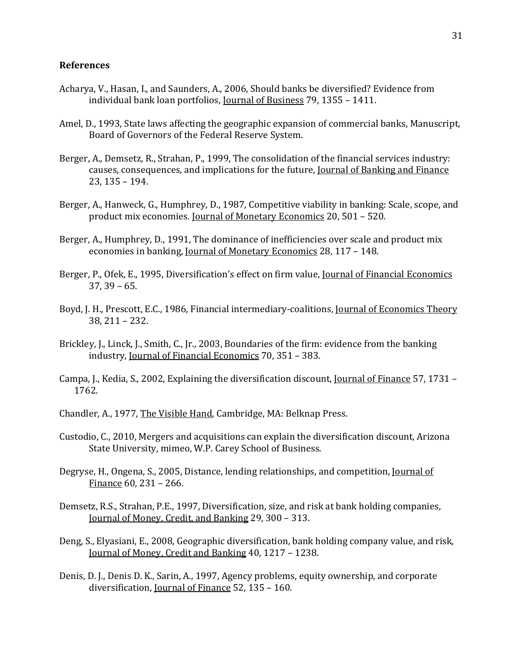#### **References**

- Acharya, V., Hasan, I., and Saunders, A., 2006, Should banks be diversified? Evidence from individual bank loan portfolios, Journal of Business 79, 1355 – 1411.
- Amel, D., 1993, State laws affecting the geographic expansion of commercial banks, Manuscript, Board of Governors of the Federal Reserve System.
- Berger, A., Demsetz, R., Strahan, P., 1999, The consolidation of the financial services industry: causes, consequences, and implications for the future, Journal of Banking and Finance 23, 135 – 194.
- Berger, A., Hanweck, G., Humphrey, D., 1987, Competitive viability in banking: Scale, scope, and product mix economies. Journal of Monetary Economics 20, 501 – 520.
- Berger, A., Humphrey, D., 1991, The dominance of inefficiencies over scale and product mix economies in banking, Journal of Monetary Economics 28, 117 – 148.
- Berger, P., Ofek, E., 1995, Diversification's effect on firm value, <u>Journal of Financial Economics</u> 37, 39 – 65.
- Boyd, J. H., Prescott, E.C., 1986, Financial intermediary-coalitions, Journal of Economics Theory 38, 211 – 232.
- Brickley, J., Linck, J., Smith, C., Jr., 2003, Boundaries of the firm: evidence from the banking industry, Journal of Financial Economics 70, 351 – 383.
- Campa, J., Kedia, S., 2002, Explaining the diversification discount, Journal of Finance 57, 1731 1762.
- Chandler, A., 1977, The Visible Hand, Cambridge, MA: Belknap Press.
- Custodio, C., 2010, Mergers and acquisitions can explain the diversification discount, Arizona State University, mimeo, W.P. Carey School of Business.
- Degryse, H., Ongena, S., 2005, Distance, lending relationships, and competition, <u>Journal of</u> Finance 60, 231 – 266.
- Demsetz, R.S., Strahan, P.E., 1997, Diversification, size, and risk at bank holding companies, Journal of Money, Credit, and Banking 29, 300 – 313.
- Deng, S., Elyasiani, E., 2008, Geographic diversification, bank holding company value, and risk, Journal of Money, Credit and Banking 40, 1217 – 1238.
- Denis, D. J., Denis D. K., Sarin, A., 1997, Agency problems, equity ownership, and corporate diversification, Journal of Finance 52, 135 – 160.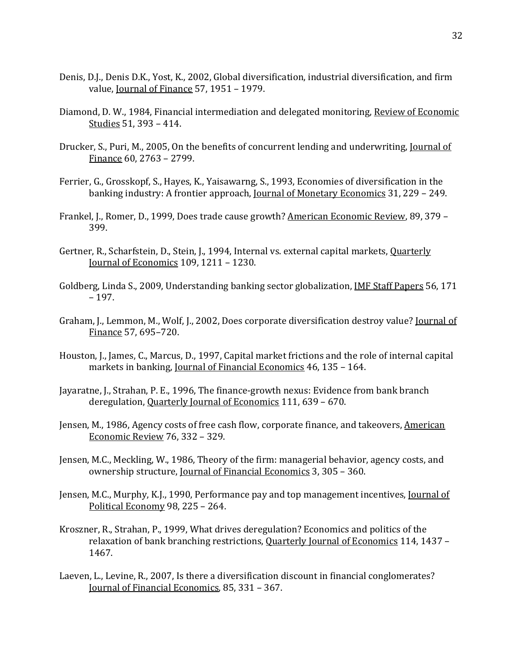- Denis, D.J., Denis D.K., Yost, K., 2002, Global diversification, industrial diversification, and firm value, Journal of Finance 57, 1951 – 1979.
- Diamond, D. W., 1984, Financial intermediation and delegated monitoring, Review of Economic Studies 51, 393 – 414.
- Drucker, S., Puri, M., 2005, On the benefits of concurrent lending and underwriting, Journal of Finance 60, 2763 – 2799.
- Ferrier, G., Grosskopf, S., Hayes, K., Yaisawarng, S., 1993, Economies of diversification in the banking industry: A frontier approach, Journal of Monetary Economics 31, 229 – 249.
- Frankel, J., Romer, D., 1999, Does trade cause growth? American Economic Review, 89, 379 399.
- Gertner, R., Scharfstein, D., Stein, J., 1994, Internal vs. external capital markets, Quarterly Journal of Economics 109, 1211 – 1230.
- Goldberg, Linda S., 2009, Understanding banking sector globalization, IMF Staff Papers 56, 171 – 197.
- Graham, J., Lemmon, M., Wolf, J., 2002, Does corporate diversification destroy value? Journal of Finance 57, 695–720.
- Houston, J., James, C., Marcus, D., 1997, Capital market frictions and the role of internal capital markets in banking, Journal of Financial Economics 46, 135 - 164.
- Jayaratne, J., Strahan, P. E., 1996, The finance-growth nexus: Evidence from bank branch deregulation, Quarterly Journal of Economics 111, 639 – 670.
- Jensen, M., 1986, Agency costs of free cash flow, corporate finance, and takeovers, American Economic Review 76, 332 – 329.
- Jensen, M.C., Meckling, W., 1986, Theory of the firm: managerial behavior, agency costs, and ownership structure, Journal of Financial Economics 3, 305 – 360.
- Jensen, M.C., Murphy, K.J., 1990, Performance pay and top management incentives, Journal of Political Economy 98, 225 – 264.
- Kroszner, R., Strahan, P., 1999, What drives deregulation? Economics and politics of the relaxation of bank branching restrictions, Quarterly Journal of Economics 114, 1437 – 1467.
- Laeven, L., Levine, R., 2007, Is there a diversification discount in financial conglomerates? Journal of Financial Economics, 85, 331 – 367.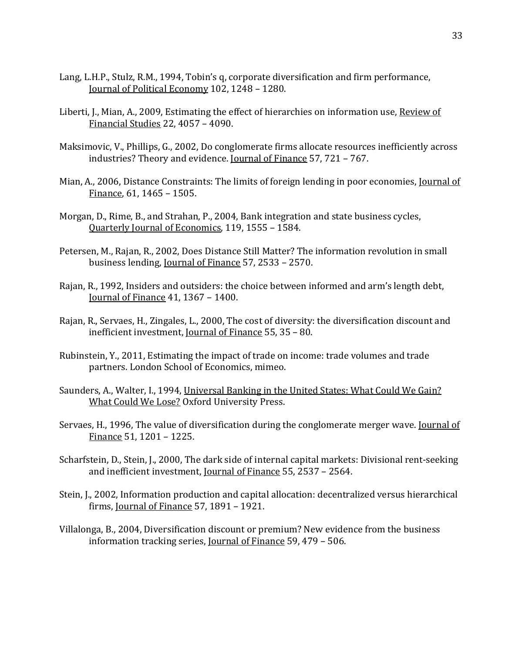- Lang, L.H.P., Stulz, R.M., 1994, Tobin's q, corporate diversification and firm performance, Journal of Political Economy 102, 1248 – 1280.
- Liberti, J., Mian, A., 2009, Estimating the effect of hierarchies on information use, Review of Financial Studies 22, 4057 – 4090.
- Maksimovic, V., Phillips, G., 2002, Do conglomerate firms allocate resources inefficiently across industries? Theory and evidence. Journal of Finance 57, 721 – 767.
- Mian, A., 2006, Distance Constraints: The limits of foreign lending in poor economies, Journal of Finance, 61, 1465 – 1505.
- Morgan, D., Rime, B., and Strahan, P., 2004, Bank integration and state business cycles, Quarterly Journal of Economics, 119, 1555 – 1584.
- Petersen, M., Rajan, R., 2002, Does Distance Still Matter? The information revolution in small business lending, Journal of Finance 57, 2533 – 2570.
- Rajan, R., 1992, Insiders and outsiders: the choice between informed and arm's length debt, Journal of Finance 41, 1367 – 1400.
- Rajan, R., Servaes, H., Zingales, L., 2000, The cost of diversity: the diversification discount and inefficient investment, Journal of Finance 55, 35 – 80.
- Rubinstein, Y., 2011, Estimating the impact of trade on income: trade volumes and trade partners. London School of Economics, mimeo.
- Saunders, A., Walter, I., 1994, Universal Banking in the United States: What Could We Gain? What Could We Lose? Oxford University Press.
- Servaes, H., 1996, The value of diversification during the conglomerate merger wave. Journal of Finance 51, 1201 – 1225.
- Scharfstein, D., Stein, J., 2000, The dark side of internal capital markets: Divisional rent-seeking and inefficient investment, *Journal of Finance* 55, 2537 - 2564.
- Stein, J., 2002, Information production and capital allocation: decentralized versus hierarchical firms, Journal of Finance 57, 1891 – 1921.
- Villalonga, B., 2004, Diversification discount or premium? New evidence from the business information tracking series, Journal of Finance 59, 479 – 506.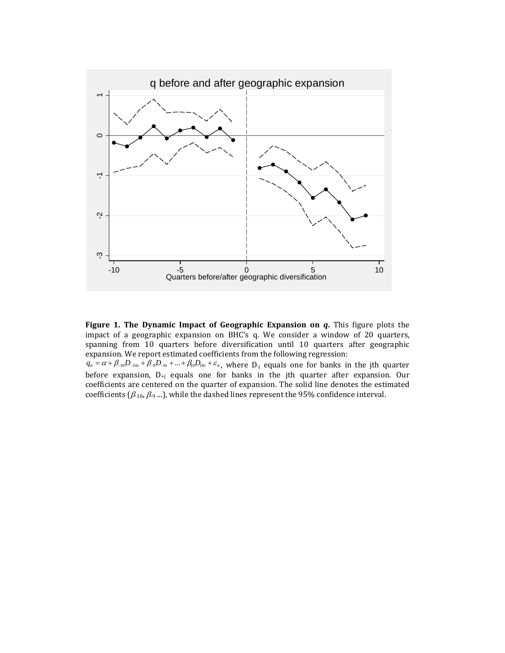

**Figure 1. The Dynamic Impact of Geographic Expansion on** *q***.** This figure plots the impact of a geographic expansion on BHC's q. We consider a window of 20 quarters, spanning from 10 quarters before diversification until 10 quarters after geographic expansion. We report estimated coefficients from the following regression:

 $q_{it} = \alpha + \beta_{-10}D_{-10t} + \beta_{-9}D_{-9t} + ... + \beta_{10}D_{10t} + \varepsilon_{it}$ , where D<sub>-j</sub> equals one for banks in the jth quarter before expansion,  $D_{+j}$  equals one for banks in the jth quarter after expansion. Our coefficients are centered on the quarter of expansion. The solid line denotes the estimated coefficients ( $\beta_{10}, \beta_{9}$ ...), while the dashed lines represent the 95% confidence interval.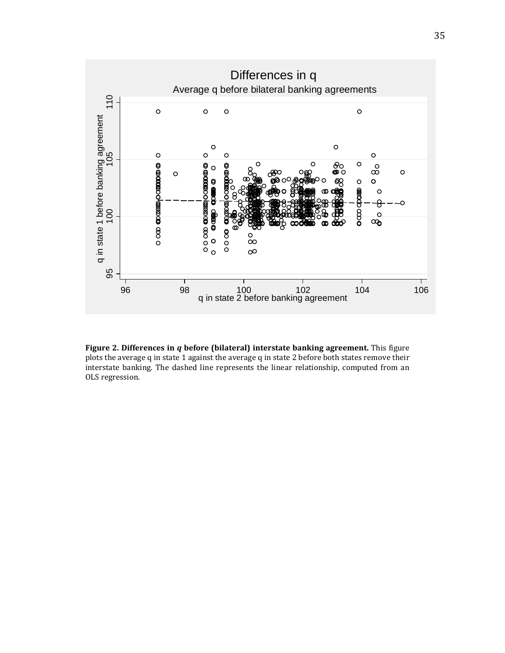

**Figure 2. Differences in** *q* **before (bilateral) interstate banking agreement.** This figure plots the average q in state 1 against the average q in state 2 before both states remove their interstate banking. The dashed line represents the linear relationship, computed from an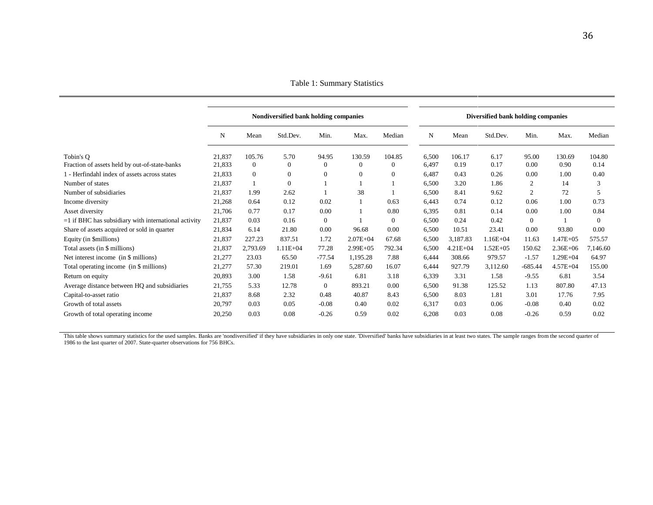Table 1: Summary Statistics

|                                                        | Nondiversified bank holding companies |          |                  |              |                | Diversified bank holding companies |       |              |               |                  |              |                |
|--------------------------------------------------------|---------------------------------------|----------|------------------|--------------|----------------|------------------------------------|-------|--------------|---------------|------------------|--------------|----------------|
|                                                        | N                                     | Mean     | Std.Dev.         | Min.         | Max.           | Median                             | N     | Mean         | Std.Dev.      | Min.             | Max.         | Median         |
| Tobin's O                                              | 21,837                                | 105.76   | 5.70             | 94.95        | 130.59         | 104.85                             | 6,500 | 106.17       | 6.17          | 95.00            | 130.69       | 104.80         |
| Fraction of assets held by out-of-state-banks          | 21,833                                | $\theta$ | $\overline{0}$   | $\mathbf{0}$ | $\overline{0}$ | $\theta$                           | 6,497 | 0.19         | 0.17          | 0.00             | 0.90         | 0.14           |
| 1 - Herfindahl index of assets across states           | 21,833                                | $\theta$ | $\boldsymbol{0}$ | $\mathbf{0}$ | $\mathbf{0}$   | $\theta$                           | 6,487 | 0.43         | 0.26          | 0.00             | 1.00         | 0.40           |
| Number of states                                       | 21,837                                |          | $\boldsymbol{0}$ |              |                |                                    | 6,500 | 3.20         | 1.86          | $\boldsymbol{2}$ | 14           | 3              |
| Number of subsidiaries                                 | 21,837                                | 1.99     | 2.62             |              | 38             |                                    | 6,500 | 8.41         | 9.62          | $\mathbf{2}$     | 72           | 5              |
| Income diversity                                       | 21,268                                | 0.64     | 0.12             | 0.02         | 1              | 0.63                               | 6,443 | 0.74         | 0.12          | 0.06             | 1.00         | 0.73           |
| Asset diversity                                        | 21,706                                | 0.77     | 0.17             | 0.00         |                | 0.80                               | 6,395 | 0.81         | 0.14          | 0.00             | 1.00         | 0.84           |
| $=1$ if BHC has subsidiary with international activity | 21,837                                | 0.03     | 0.16             | $\theta$     |                | $\boldsymbol{0}$                   | 6,500 | 0.24         | 0.42          | $\theta$         |              | $\overline{0}$ |
| Share of assets acquired or sold in quarter            | 21,834                                | 6.14     | 21.80            | 0.00         | 96.68          | 0.00                               | 6,500 | 10.51        | 23.41         | 0.00             | 93.80        | 0.00           |
| Equity (in \$millions)                                 | 21,837                                | 227.23   | 837.51           | 1.72         | $2.07E + 04$   | 67.68                              | 6,500 | 3,187.83     | $1.16E + 04$  | 11.63            | 1.47E+05     | 575.57         |
| Total assets (in \$ millions)                          | 21,837                                | 2,793.69 | $1.11E + 04$     | 77.28        | $2.99E + 05$   | 792.34                             | 6,500 | $4.21E + 04$ | $1.52E + 0.5$ | 150.62           | $2.36E + 06$ | 7,146.60       |
| Net interest income (in \$ millions)                   | 21,277                                | 23.03    | 65.50            | $-77.54$     | 1,195.28       | 7.88                               | 6,444 | 308.66       | 979.57        | $-1.57$          | 1.29E+04     | 64.97          |
| Total operating income (in \$ millions)                | 21,277                                | 57.30    | 219.01           | 1.69         | 5,287.60       | 16.07                              | 6,444 | 927.79       | 3,112.60      | $-685.44$        | $4.57E + 04$ | 155.00         |
| Return on equity                                       | 20,893                                | 3.00     | 1.58             | $-9.61$      | 6.81           | 3.18                               | 6,339 | 3.31         | 1.58          | $-9.55$          | 6.81         | 3.54           |
| Average distance between HQ and subsidiaries           | 21,755                                | 5.33     | 12.78            | $\theta$     | 893.21         | 0.00                               | 6,500 | 91.38        | 125.52        | 1.13             | 807.80       | 47.13          |
| Capital-to-asset ratio                                 | 21,837                                | 8.68     | 2.32             | 0.48         | 40.87          | 8.43                               | 6,500 | 8.03         | 1.81          | 3.01             | 17.76        | 7.95           |
| Growth of total assets                                 | 20,797                                | 0.03     | 0.05             | $-0.08$      | 0.40           | 0.02                               | 6,317 | 0.03         | 0.06          | $-0.08$          | 0.40         | 0.02           |
| Growth of total operating income                       | 20,250                                | 0.03     | 0.08             | $-0.26$      | 0.59           | 0.02                               | 6,208 | 0.03         | 0.08          | $-0.26$          | 0.59         | 0.02           |

This table shows summary statistics for the used samples. Banks are 'nondiversified' if they have subsidiaries in only one state. 'Diversified' banks have subsidiaries in at least two states. The sample ranges from the sec 1986 to the last quarter of 2007. State-quarter observations for 756 BHCs.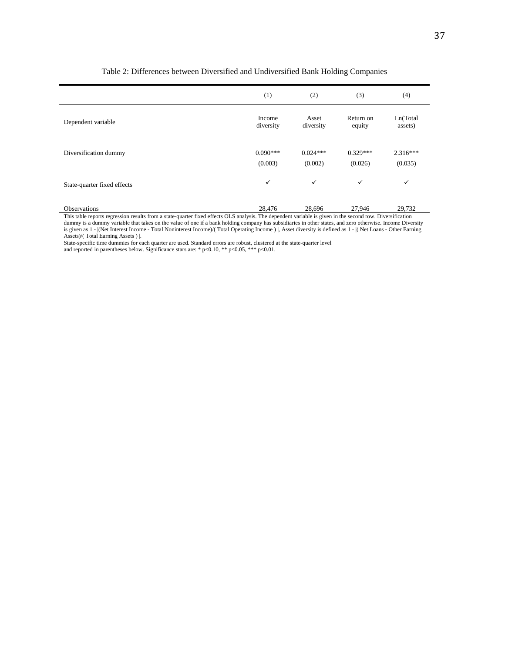|                               | (1)                   | (2)                   | (3)                   | (4)                   |
|-------------------------------|-----------------------|-----------------------|-----------------------|-----------------------|
| Dependent variable            | Income<br>diversity   | Asset<br>diversity    | Return on<br>equity   | Ln(Total<br>assets)   |
| Diversification dummy         | $0.090***$<br>(0.003) | $0.024***$<br>(0.002) | $0.329***$<br>(0.026) | $2.316***$<br>(0.035) |
| State-quarter fixed effects   | $\checkmark$          | $\checkmark$          | $\checkmark$          | $\checkmark$          |
| Observations<br>. .<br>.<br>. | 28,476                | 28,696                | 27,946                | 29,732                |

#### Table 2: Differences between Diversified and Undiversified Bank Holding Companies

This table reports regression results from a state-quarter fixed effects OLS analysis. The dependent variable is given in the second row. Diversification dummy is a dummy variable that takes on the value of one if a bank holding company has subsidiaries in other states, and zero otherwise. Income Diversity is given as 1 - |(Net Interest Income - Total Noninterest Income)/( Total Operating Income ) |, Asset diversity is defined as 1 - |( Net Loans - Other Earning Assets)/( Total Earning Assets ) |.

State-specific time dummies for each quarter are used. Standard errors are robust, clustered at the state-quarter level and reported in parentheses below. Significance stars are: \*  $p<0.10$ , \*\*  $p<0.05$ , \*\*\*  $p<0.01$ .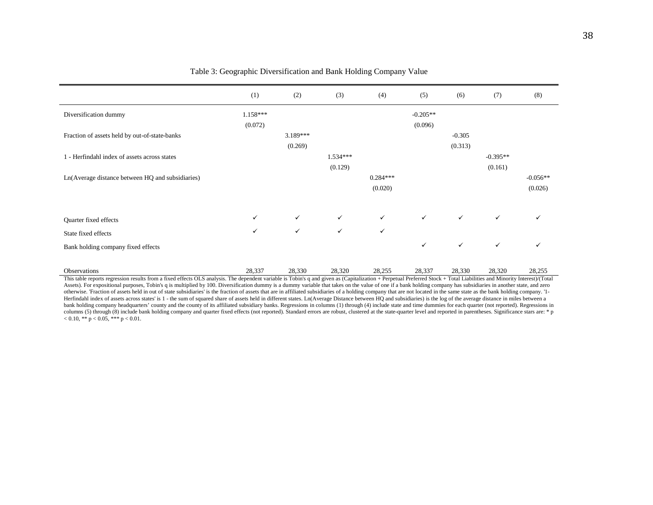|                                                  | (1)          | (2)          | (3)          | (4)          | (5)          | (6)          | (7)          | (8)          |
|--------------------------------------------------|--------------|--------------|--------------|--------------|--------------|--------------|--------------|--------------|
| Diversification dummy                            | $1.158***$   |              |              |              | $-0.205**$   |              |              |              |
|                                                  | (0.072)      |              |              |              | (0.096)      |              |              |              |
| Fraction of assets held by out-of-state-banks    |              | $3.189***$   |              |              |              | $-0.305$     |              |              |
|                                                  |              | (0.269)      |              |              |              | (0.313)      |              |              |
| 1 - Herfindahl index of assets across states     |              |              | $1.534***$   |              |              |              | $-0.395**$   |              |
|                                                  |              |              | (0.129)      |              |              |              | (0.161)      |              |
| Ln(Average distance between HQ and subsidiaries) |              |              |              | $0.284***$   |              |              |              | $-0.056**$   |
|                                                  |              |              |              | (0.020)      |              |              |              | (0.026)      |
|                                                  |              |              |              |              |              |              |              |              |
| Quarter fixed effects                            | $\checkmark$ | $\checkmark$ | $\checkmark$ | $\checkmark$ | $\checkmark$ | $\checkmark$ | $\checkmark$ | $\checkmark$ |
| State fixed effects                              | $\checkmark$ | $\checkmark$ | $\checkmark$ | $\checkmark$ |              |              |              |              |
| Bank holding company fixed effects               |              |              |              |              | $\checkmark$ | $\checkmark$ | $\checkmark$ | $\checkmark$ |
|                                                  |              |              |              |              |              |              |              |              |
| Observations                                     | 28,337       | 28,330       | 28,320       | 28,255       | 28,337       | 28,330       | 28,320       | 28,255       |

#### Table 3: Geographic Diversification and Bank Holding Company Value

This table reports regression results from a fixed effects OLS analysis. The dependent variable is Tobin's q and given as (Capitalization + Perpetual Preferred Stock + Total Liabilities and Minority Interest)/(Total Assets). For expositional purposes, Tobin's q is multiplied by 100. Diversification dummy is a dummy variable that takes on the value of one if a bank holding company has subsidiaries in another state, and zero otherwise. 'Fraction of assets held in out of state subsidiaries' is the fraction of assets that are in affiliated subsidiaries of a holding company that are not located in the same state as the bank holding company. '1- Herfindahl index of assets across states' is 1 - the sum of squared share of assets held in different states. Ln(Average Distance between HQ and subsidiaries) is the log of the average distance in miles between a bank holding company headquarters' county and the county of its affiliated subsidiary banks. Regressions in columns (1) through (4) include state and time dummies for each quarter (not reported). Regressions in columns (5) through (8) include bank holding company and quarter fixed effects (not reported). Standard errors are robust, clustered at the state-quarter level and reported in parentheses. Significance stars are: \* p  $< 0.10, ** p < 0.05, *** p < 0.01.$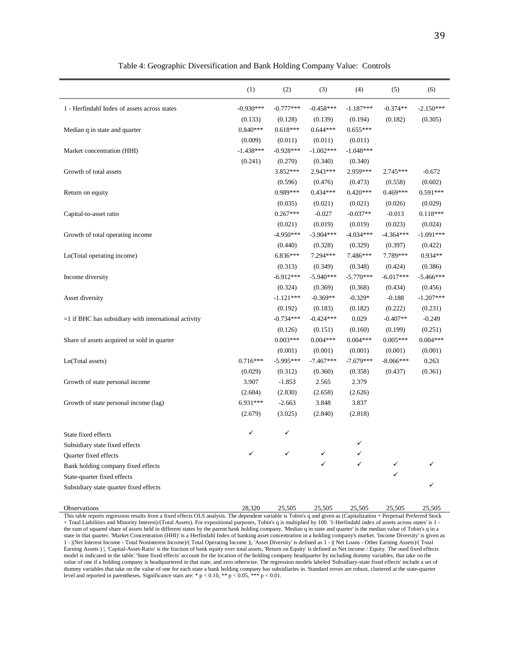|                                                        | (1)         | (2)         | (3)         | (4)         | (5)         | (6)         |
|--------------------------------------------------------|-------------|-------------|-------------|-------------|-------------|-------------|
| 1 - Herfindahl Index of assets across states           | $-0.930***$ | $-0.777***$ | $-0.458***$ | $-1.187***$ | $-0.374**$  | $-2.150***$ |
|                                                        | (0.133)     | (0.128)     | (0.139)     | (0.194)     | (0.182)     | (0.305)     |
| Median q in state and quarter                          | $0.840***$  | $0.618***$  | $0.644***$  | $0.655***$  |             |             |
|                                                        | (0.009)     | (0.011)     | (0.011)     | (0.011)     |             |             |
| Market concentration (HHI)                             | $-1.438***$ | $-0.928***$ | $-1.002***$ | $-1.048***$ |             |             |
|                                                        | (0.241)     | (0.270)     | (0.340)     | (0.340)     |             |             |
| Growth of total assets                                 |             | 3.852***    | 2.943***    | 2.959***    | $2.745***$  | $-0.672$    |
|                                                        |             | (0.596)     | (0.476)     | (0.473)     | (0.558)     | (0.602)     |
| Return on equity                                       |             | 0.989***    | $0.434***$  | $0.420***$  | $0.469***$  | 0.591***    |
|                                                        |             | (0.035)     | (0.021)     | (0.021)     | (0.026)     | (0.029)     |
| Capital-to-asset ratio                                 |             | $0.267***$  | $-0.027$    | $-0.037**$  | $-0.013$    | $0.118***$  |
|                                                        |             | (0.021)     | (0.019)     | (0.019)     | (0.023)     | (0.024)     |
| Growth of total operating income                       |             | $-4.950***$ | $-3.904***$ | $-4.034***$ | $-4.364***$ | $-1.091***$ |
|                                                        |             | (0.440)     | (0.328)     | (0.329)     | (0.397)     | (0.422)     |
| Ln(Total operating income)                             |             | $6.836***$  | 7.294***    | 7.486***    | 7.789***    | $0.934**$   |
|                                                        |             | (0.313)     | (0.349)     | (0.348)     | (0.424)     | (0.386)     |
| Income diversity                                       |             | $-6.912***$ | $-5.940***$ | $-5.770***$ | $-6.017***$ | $-5.466***$ |
|                                                        |             | (0.324)     | (0.369)     | (0.368)     | (0.434)     | (0.456)     |
| Asset diversity                                        |             | $-1.121***$ | $-0.369**$  | $-0.329*$   | $-0.188$    | $-1.207***$ |
|                                                        |             | (0.192)     | (0.183)     | (0.182)     | (0.222)     | (0.231)     |
| $=1$ if BHC has subsidiary with international activity |             | $-0.734***$ | $-0.424***$ | 0.029       | $-0.407**$  | $-0.249$    |
|                                                        |             | (0.126)     | (0.151)     | (0.160)     | (0.199)     | (0.251)     |
| Share of assets acquired or sold in quarter            |             | $0.003***$  | $0.004***$  | $0.004***$  | $0.005***$  | $0.004***$  |
|                                                        |             | (0.001)     | (0.001)     | (0.001)     | (0.001)     | (0.001)     |
| Ln(Total assets)                                       | $0.716***$  | $-5.995***$ | $-7.467***$ | $-7.679***$ | $-8.066***$ | 0.263       |
|                                                        | (0.029)     | (0.312)     | (0.360)     | (0.358)     | (0.437)     | (0.361)     |
| Growth of state personal income                        | 3.907       | $-1.853$    | 2.565       | 2.379       |             |             |
|                                                        | (2.684)     | (2.830)     | (2.658)     | (2.626)     |             |             |
| Growth of state personal income (lag)                  | 6.931***    | $-2.663$    | 3.848       | 3.837       |             |             |
|                                                        | (2.679)     | (3.025)     | (2.840)     | (2.818)     |             |             |
| State fixed effects                                    | ✓           | ✓           |             |             |             |             |
| Subsidiary state fixed effects                         |             |             |             | ✓           |             |             |
| Quarter fixed effects                                  | ✓           | ✓           | ✓           | ✓           |             |             |
| Bank holding company fixed effects                     |             |             |             |             | ✓           |             |
| State-quarter fixed effects                            |             |             |             |             | ✓           |             |
| Subsidiary state quarter fixed effects                 |             |             |             |             |             |             |
| Observations                                           | 28,320      | 25,505      | 25,505      | 25,505      | 25,505      | 25,505      |

Table 4: Geographic Diversification and Bank Holding Company Value: Controls

This table reports regression results from a fixed effects OLS analysis. The dependent variable is Tobin's q and given as (Capitalization + Perpetual Preferred Stock + Total Liabilities and Minority Interest)/(Total Assets). For expositional purposes, Tobin's q is multiplied by 100. '1-Herfindahl index of assets across states' is 1 the sum of squared share of assets held in different states by the parent bank holding company. 'Median q in state and quarter' is the median value of Tobin's q in a state in that quarter. 'Market Concentration (HHI)' is a Herfindahl Index of banking asset concentration in a holding company's market. 'Income Diversity' is given as 1 - |(Net Interest Income - Total Noninterest Income)/( Total Operating Income )|, 'Asset Diversity' is defined as 1 - |( Net Loans - Other Earning Assets)/( Total Earning Assets ) |. 'Capital-Asset-Ratio' is the fraction of bank equity over total assets, 'Return on Equity' is defined as Net income / Equity. The used fixed effects model is indicated in the table: 'State fixed effects' account for the location of the holding company headquarter by including dummy variables, that take on the value of one if a holding company is headquartered in that state, and zero otherwise. The regression models labeled 'Subsidiary-state fixed effects' include a set of dummy variables that take on the value of one for each state a bank holding company has subsidiaries in. Standard errors are robust, clustered at the state-quarter level and reported in parentheses. Significance stars are: \* p < 0.10, \*\* p < 0.05, \*\*\* p < 0.01.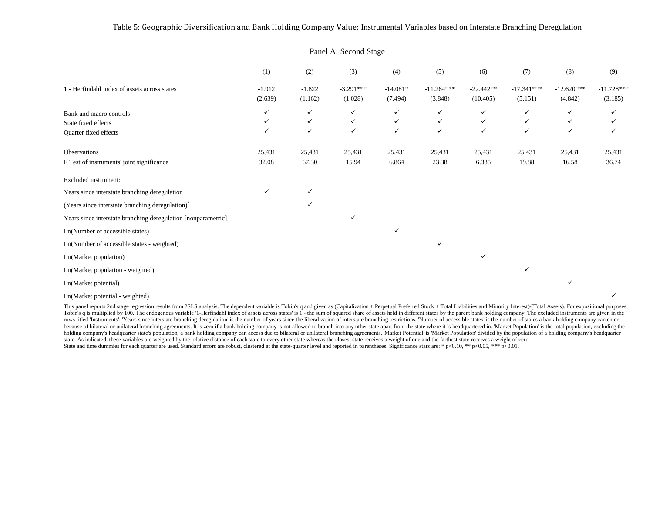| Panel A: Second Stage                                                   |                     |                                              |                        |                                              |                                   |                         |                                              |                                              |                         |  |
|-------------------------------------------------------------------------|---------------------|----------------------------------------------|------------------------|----------------------------------------------|-----------------------------------|-------------------------|----------------------------------------------|----------------------------------------------|-------------------------|--|
|                                                                         | (1)                 | (2)                                          | (3)                    | (4)                                          | (5)                               | (6)                     | (7)                                          | (8)                                          | (9)                     |  |
| 1 - Herfindahl Index of assets across states                            | $-1.912$<br>(2.639) | $-1.822$<br>(1.162)                          | $-3.291***$<br>(1.028) | $-14.081*$<br>(7.494)                        | $-11.264***$<br>(3.848)           | $-22.442**$<br>(10.405) | $-17.341***$<br>(5.151)                      | $-12.620***$<br>(4.842)                      | $-11.728***$<br>(3.185) |  |
| Bank and macro controls<br>State fixed effects<br>Quarter fixed effects | ✓<br>✓<br>✓         | $\checkmark$<br>$\checkmark$<br>$\checkmark$ | ✓<br>✓<br>$\checkmark$ | $\checkmark$<br>$\checkmark$<br>$\checkmark$ | ✓<br>$\checkmark$<br>$\checkmark$ | ✓<br>$\checkmark$<br>✓  | $\checkmark$<br>$\checkmark$<br>$\checkmark$ | $\checkmark$<br>$\checkmark$<br>$\checkmark$ | ✓                       |  |
| Observations<br>F Test of instruments' joint significance               | 25,431<br>32.08     | 25,431<br>67.30                              | 25,431<br>15.94        | 25,431<br>6.864                              | 25,431<br>23.38                   | 25,431<br>6.335         | 25,431<br>19.88                              | 25,431<br>16.58                              | 25,431<br>36.74         |  |
| Excluded instrument:                                                    |                     |                                              |                        |                                              |                                   |                         |                                              |                                              |                         |  |
| Years since interstate branching deregulation                           | ✓                   | $\checkmark$                                 |                        |                                              |                                   |                         |                                              |                                              |                         |  |
| (Years since interstate branching deregulation) <sup>2</sup>            |                     | $\checkmark$                                 |                        |                                              |                                   |                         |                                              |                                              |                         |  |
| Years since interstate branching deregulation [nonparametric]           |                     |                                              | ✓                      |                                              |                                   |                         |                                              |                                              |                         |  |
| Ln(Number of accessible states)                                         |                     |                                              |                        | ✓                                            |                                   |                         |                                              |                                              |                         |  |
| Ln(Number of accessible states - weighted)                              |                     |                                              |                        |                                              | $\checkmark$                      |                         |                                              |                                              |                         |  |
| Ln(Market population)                                                   |                     |                                              |                        |                                              |                                   | ✓                       |                                              |                                              |                         |  |
| Ln(Market population - weighted)                                        |                     |                                              |                        |                                              |                                   |                         | ✓                                            |                                              |                         |  |
| Ln(Market potential)                                                    |                     |                                              |                        |                                              |                                   |                         |                                              | $\checkmark$                                 |                         |  |
| Ln(Market potential - weighted)                                         |                     |                                              |                        |                                              |                                   |                         |                                              |                                              | ✓                       |  |

This panel reports 2nd stage regression results from 2SLS analysis. The dependent variable is Tobin's q and given as (Capitalization + Perpetual Preferred Stock + Total Liabilities and Minority Interest)/(Total Assets). Fo Tobin's q is multiplied by 100. The endogenous variable '1-Herfindahl index of assets across states' is 1 - the sum of squared share of assets held in different states by the parent bank holding company. The excluded instr rows titled 'Instruments': 'Years since interstate branching deregulation' is the number of years since the liberalization of interstate branching restrictions. Number of accessible states' is the number of states a bank h because of bilateral or unilateral branching agreements. It is zero if a bank holding company is not allowed to branch into any other state apart from the state where it is headquartered in. 'Market Population' is the tota holding company's headquarter state's population, a bank holding company can access due to bilateral or unilateral branching agreements. Market Potential' is Market Population' divided by the population of a holding compan state. As indicated, these variables are weighted by the relative distance of each state to every other state whereas the closest state receives a weight of one and the farthest state receives a weight of zero. State and time dummies for each quarter are used. Standard errors are robust, clustered at the state-quarter level and reported in parentheses. Significance stars are: \* p<0.10, \*\* p<0.05, \*\*\* p<0.01.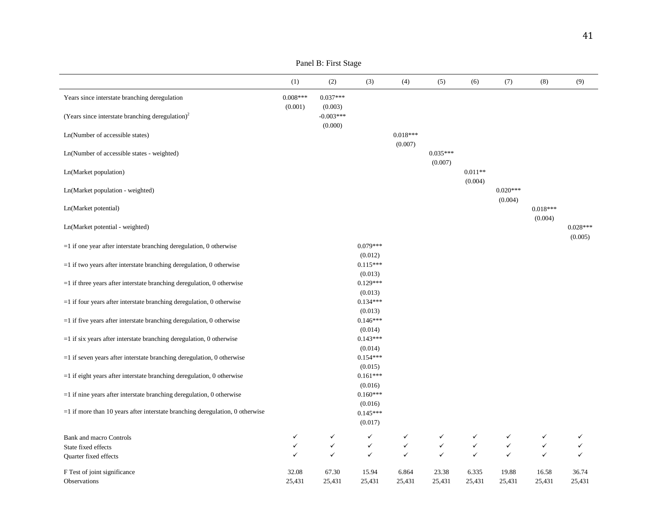|                                                                                  | (1)             | (2)                               | (3)                              | (4)             | (5)                   | (6)                  | (7)                   | (8)             | (9)                   |
|----------------------------------------------------------------------------------|-----------------|-----------------------------------|----------------------------------|-----------------|-----------------------|----------------------|-----------------------|-----------------|-----------------------|
| Years since interstate branching deregulation                                    | $0.008***$      | $0.037***$                        |                                  |                 |                       |                      |                       |                 |                       |
| (Years since interstate branching deregulation) <sup>2</sup>                     | (0.001)         | (0.003)<br>$-0.003***$<br>(0.000) |                                  |                 |                       |                      |                       |                 |                       |
| Ln(Number of accessible states)                                                  |                 |                                   |                                  | $0.018***$      |                       |                      |                       |                 |                       |
| Ln(Number of accessible states - weighted)                                       |                 |                                   |                                  | (0.007)         | $0.035***$<br>(0.007) |                      |                       |                 |                       |
| Ln(Market population)                                                            |                 |                                   |                                  |                 |                       | $0.011**$<br>(0.004) |                       |                 |                       |
| Ln(Market population - weighted)                                                 |                 |                                   |                                  |                 |                       |                      | $0.020***$<br>(0.004) |                 |                       |
| Ln(Market potential)                                                             |                 |                                   |                                  |                 |                       |                      |                       | $0.018***$      |                       |
| Ln(Market potential - weighted)                                                  |                 |                                   |                                  |                 |                       |                      |                       | (0.004)         | $0.028***$<br>(0.005) |
| $=$ 1 if one year after interstate branching deregulation, 0 otherwise           |                 |                                   | $0.079***$                       |                 |                       |                      |                       |                 |                       |
| $=1$ if two years after interstate branching deregulation, 0 otherwise           |                 |                                   | (0.012)<br>$0.115***$<br>(0.013) |                 |                       |                      |                       |                 |                       |
| $=$ 1 if three years after interstate branching deregulation, 0 otherwise        |                 |                                   | $0.129***$<br>(0.013)            |                 |                       |                      |                       |                 |                       |
| $=$ 1 if four years after interstate branching deregulation, 0 otherwise         |                 |                                   | $0.134***$<br>(0.013)            |                 |                       |                      |                       |                 |                       |
| $=$ 1 if five years after interstate branching deregulation, 0 otherwise         |                 |                                   | $0.146***$<br>(0.014)            |                 |                       |                      |                       |                 |                       |
| $=$ 1 if six years after interstate branching deregulation, 0 otherwise          |                 |                                   | $0.143***$                       |                 |                       |                      |                       |                 |                       |
| $=$ 1 if seven years after interstate branching deregulation, 0 otherwise        |                 |                                   | (0.014)<br>$0.154***$            |                 |                       |                      |                       |                 |                       |
| $=$ 1 if eight years after interstate branching deregulation, 0 otherwise        |                 |                                   | (0.015)<br>$0.161***$<br>(0.016) |                 |                       |                      |                       |                 |                       |
| $=$ 1 if nine years after interstate branching deregulation, 0 otherwise         |                 |                                   | $0.160***$                       |                 |                       |                      |                       |                 |                       |
| $=$ 1 if more than 10 years after interstate branching deregulation, 0 otherwise |                 |                                   | (0.016)<br>$0.145***$<br>(0.017) |                 |                       |                      |                       |                 |                       |
| <b>Bank and macro Controls</b>                                                   | $\checkmark$    | $\checkmark$                      | $\checkmark$                     | ✓               | ✓                     | ✓                    | ✓                     | ✓               | ✓                     |
| State fixed effects                                                              | ✓               | $\checkmark$                      | $\checkmark$                     | $\checkmark$    | $\checkmark$          | $\checkmark$         | $\checkmark$          | $\checkmark$    | ✓                     |
| Quarter fixed effects                                                            | ✓               | $\checkmark$                      | $\checkmark$                     | ✓               | ✓                     | $\checkmark$         | $\checkmark$          | $\checkmark$    | ✓                     |
| F Test of joint significance<br>Observations                                     | 32.08<br>25,431 | 67.30<br>25,431                   | 15.94<br>25,431                  | 6.864<br>25,431 | 23.38<br>25,431       | 6.335<br>25,431      | 19.88<br>25,431       | 16.58<br>25,431 | 36.74<br>25,431       |

Panel B: First Stage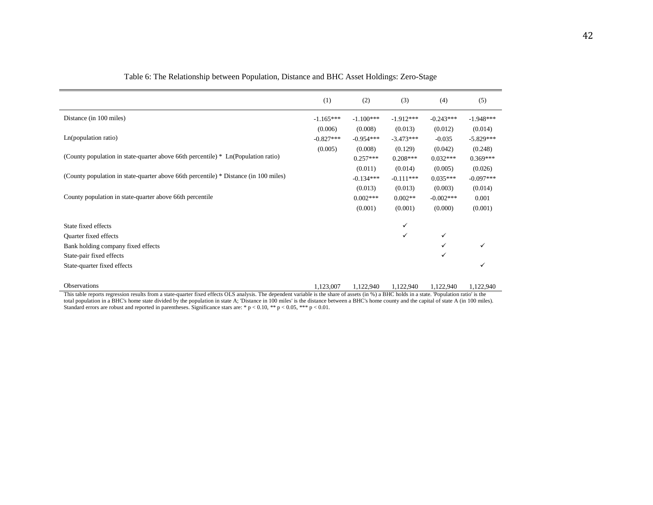|                                                                                      | (1)         | (2)         | (3)         | (4)          | (5)         |
|--------------------------------------------------------------------------------------|-------------|-------------|-------------|--------------|-------------|
| Distance (in 100 miles)                                                              | $-1.165***$ | $-1.100***$ | $-1.912***$ | $-0.243***$  | $-1.948***$ |
|                                                                                      | (0.006)     | (0.008)     | (0.013)     | (0.012)      | (0.014)     |
| Ln(population ratio)                                                                 | $-0.827***$ | $-0.954***$ | $-3.473***$ | $-0.035$     | $-5.829***$ |
|                                                                                      | (0.005)     | (0.008)     | (0.129)     | (0.042)      | (0.248)     |
| (County population in state-quarter above 66th percentile) * Ln(Population ratio)    |             | $0.257***$  | $0.208***$  | $0.032***$   | $0.369***$  |
|                                                                                      |             | (0.011)     | (0.014)     | (0.005)      | (0.026)     |
| (County population in state-quarter above 66th percentile) * Distance (in 100 miles) |             | $-0.134***$ | $-0.111***$ | $0.035***$   | $-0.097***$ |
|                                                                                      |             | (0.013)     | (0.013)     | (0.003)      | (0.014)     |
| County population in state-quarter above 66th percentile                             |             | $0.002***$  | $0.002**$   | $-0.002***$  | 0.001       |
|                                                                                      |             | (0.001)     | (0.001)     | (0.000)      | (0.001)     |
| State fixed effects                                                                  |             |             | ✓           |              |             |
|                                                                                      |             |             | ✓           | $\checkmark$ |             |
| Quarter fixed effects                                                                |             |             |             |              |             |
| Bank holding company fixed effects                                                   |             |             |             | ✓            |             |
| State-pair fixed effects                                                             |             |             |             | ✓            |             |
| State-quarter fixed effects                                                          |             |             |             |              |             |
|                                                                                      |             |             |             |              |             |

Table 6: The Relationship between Population, Distance and BHC Asset Holdings: Zero-Stage

Observations 1,122,940 1,122,940 1,122,940 1,122,940 1,122,940 1,122,940 1,122,940 This table reports regression results from a state-quarter fixed effects OLS analysis. The dependent variable is the share of assets (in %) a BHC holds in a state. 'Population ratio' is the total population in a BHC's home state divided by the population in state A; 'Distance in 100 miles' is the distance between a BHC's home county and the capital of state A (in 100 miles). Standard errors are robust and reported in parentheses. Significance stars are: \*  $p < 0.10$ , \*\*  $p < 0.05$ , \*\*\*  $p < 0.01$ .